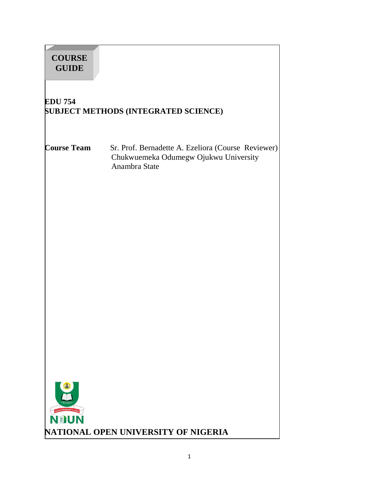| <b>COURSE</b><br><b>GUIDE</b> |                                                                                                              |  |
|-------------------------------|--------------------------------------------------------------------------------------------------------------|--|
| <b>EDU 754</b>                | <b>SUBJECT METHODS (INTEGRATED SCIENCE)</b>                                                                  |  |
| <b>Course Team</b>            | Sr. Prof. Bernadette A. Ezeliora (Course Reviewer)<br>Chukwuemeka Odumegw Ojukwu University<br>Anambra State |  |
| <b>NOUN</b>                   | NATIONAL OPEN UNIVERSITY OF NIGERIA                                                                          |  |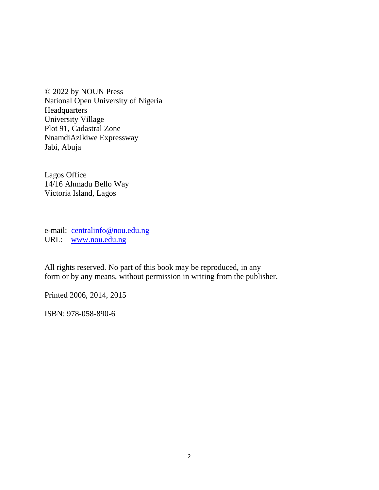© 2022 by NOUN Press National Open University of Nigeria **Headquarters** University Village Plot 91, Cadastral Zone NnamdiAzikiwe Expressway Jabi, Abuja

Lagos Office 14/16 Ahmadu Bello Way Victoria Island, Lagos

e-mail: centralinfo@nou.edu.ng URL: www.nou.edu.ng

All rights reserved. No part of this book may be reproduced, in any form or by any means, without permission in writing from the publisher.

Printed 2006, 2014, 2015

ISBN: 978-058-890-6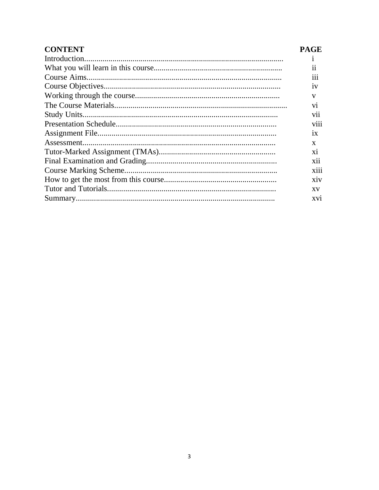| <b>CONTENT</b> | <b>PAGE</b>    |
|----------------|----------------|
| Introduction.  |                |
|                | 11             |
|                | 111            |
|                | 1V             |
|                | V              |
|                | V <sub>1</sub> |
|                | V11            |
|                | V111           |
|                | 1X             |
|                | X              |
|                | X1             |
|                | <b>X11</b>     |
|                | X111           |
|                | X1V            |
|                | <b>XV</b>      |
|                | XV1            |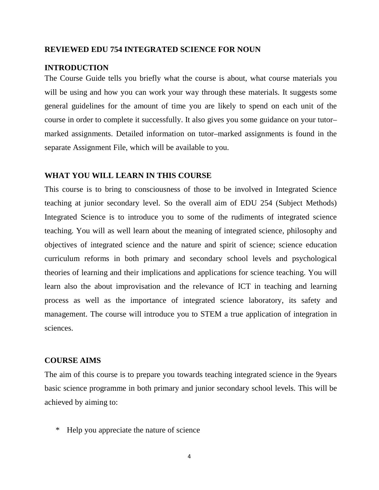#### **REVIEWED EDU 754 INTEGRATED SCIENCE FOR NOUN**

#### **INTRODUCTION**

The Course Guide tells you briefly what the course is about, what course materials you will be using and how you can work your way through these materials. It suggests some general guidelines for the amount of time you are likely to spend on each unit of the course in order to complete it successfully. It also gives you some guidance on your tutor– marked assignments. Detailed information on tutor–marked assignments is found in the separate Assignment File, which will be available to you.

#### **WHAT YOU WILL LEARN IN THIS COURSE**

This course is to bring to consciousness of those to be involved in Integrated Science teaching at junior secondary level. So the overall aim of EDU 254 (Subject Methods) Integrated Science is to introduce you to some of the rudiments of integrated science teaching. You will as well learn about the meaning of integrated science, philosophy and objectives of integrated science and the nature and spirit of science; science education curriculum reforms in both primary and secondary school levels and psychological theories of learning and their implications and applications for science teaching. You will learn also the about improvisation and the relevance of ICT in teaching and learning process as well as the importance of integrated science laboratory, its safety and management. The course will introduce you to STEM a true application of integration in sciences.

#### **COURSE AIMS**

The aim of this course is to prepare you towards teaching integrated science in the 9years basic science programme in both primary and junior secondary school levels. This will be achieved by aiming to:

\* Help you appreciate the nature of science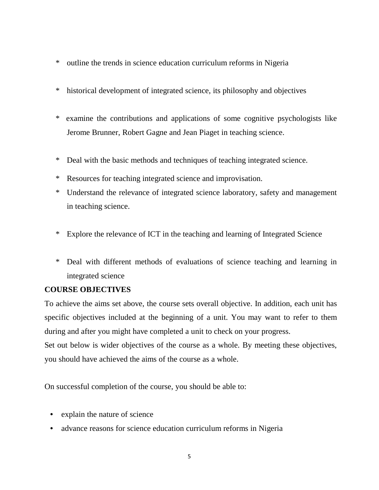- \* outline the trends in science education curriculum reforms in Nigeria
- \* historical development of integrated science, its philosophy and objectives
- \* examine the contributions and applications of some cognitive psychologists like Jerome Brunner, Robert Gagne and Jean Piaget in teaching science.
- \* Deal with the basic methods and techniques of teaching integrated science.
- \* Resources for teaching integrated science and improvisation.
- \* Understand the relevance of integrated science laboratory, safety and management in teaching science.
- \* Explore the relevance of ICT in the teaching and learning of Integrated Science
- \* Deal with different methods of evaluations of science teaching and learning in integrated science

# **COURSE OBJECTIVES**

To achieve the aims set above, the course sets overall objective. In addition, each unit has specific objectives included at the beginning of a unit. You may want to refer to them during and after you might have completed a unit to check on your progress.

Set out below is wider objectives of the course as a whole. By meeting these objectives, you should have achieved the aims of the course as a whole.

On successful completion of the course, you should be able to:

- explain the nature of science
- advance reasons for science education curriculum reforms in Nigeria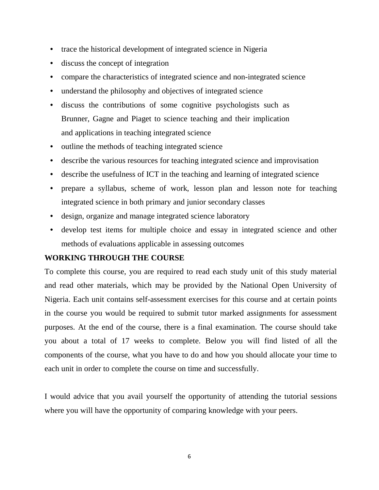- trace the historical development of integrated science in Nigeria
- discuss the concept of integration
- compare the characteristics of integrated science and non-integrated science
- understand the philosophy and objectives of integrated science
- discuss the contributions of some cognitive psychologists such as Brunner, Gagne and Piaget to science teaching and their implication and applications in teaching integrated science
- outline the methods of teaching integrated science
- describe the various resources for teaching integrated science and improvisation
- describe the usefulness of ICT in the teaching and learning of integrated science
- prepare a syllabus, scheme of work, lesson plan and lesson note for teaching integrated science in both primary and junior secondary classes
- design, organize and manage integrated science laboratory
- develop test items for multiple choice and essay in integrated science and other methods of evaluations applicable in assessing outcomes

# **WORKING THROUGH THE COURSE**

To complete this course, you are required to read each study unit of this study material and read other materials, which may be provided by the National Open University of Nigeria. Each unit contains self-assessment exercises for this course and at certain points in the course you would be required to submit tutor marked assignments for assessment purposes. At the end of the course, there is a final examination. The course should take you about a total of 17 weeks to complete. Below you will find listed of all the components of the course, what you have to do and how you should allocate your time to each unit in order to complete the course on time and successfully.

I would advice that you avail yourself the opportunity of attending the tutorial sessions where you will have the opportunity of comparing knowledge with your peers.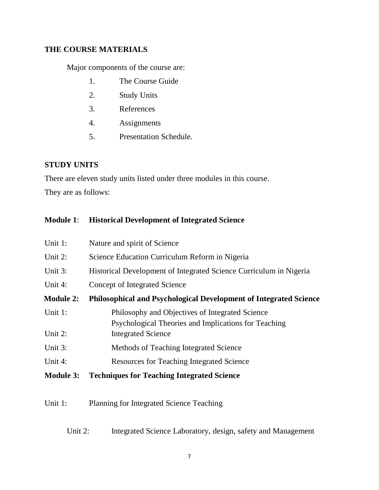# **THE COURSE MATERIALS**

Major components of the course are:

- 1. The Course Guide
- 2. Study Units
- 3. References
- 4. Assignments
- 5. Presentation Schedule.

# **STUDY UNITS**

There are eleven study units listed under three modules in this course.

They are as follows:

# **Module 1**: **Historical Development of Integrated Science**

| Unit 1:          | Nature and spirit of Science                                                                            |  |  |
|------------------|---------------------------------------------------------------------------------------------------------|--|--|
| Unit 2:          | Science Education Curriculum Reform in Nigeria                                                          |  |  |
| Unit $3$ :       | Historical Development of Integrated Science Curriculum in Nigeria                                      |  |  |
| Unit 4:          | Concept of Integrated Science                                                                           |  |  |
| <b>Module 2:</b> | <b>Philosophical and Psychological Development of Integrated Science</b>                                |  |  |
| Unit 1:          | Philosophy and Objectives of Integrated Science<br>Psychological Theories and Implications for Teaching |  |  |
| Unit 2:          | <b>Integrated Science</b>                                                                               |  |  |
| Unit 3:          | Methods of Teaching Integrated Science                                                                  |  |  |
| Unit 4:          | <b>Resources for Teaching Integrated Science</b>                                                        |  |  |
| <b>Module 3:</b> | <b>Techniques for Teaching Integrated Science</b>                                                       |  |  |

# Unit 1: Planning for Integrated Science Teaching

# Unit 2: Integrated Science Laboratory, design, safety and Management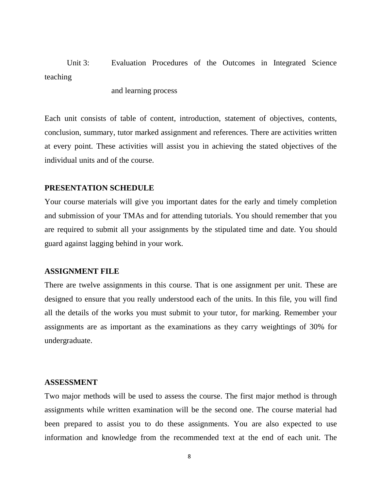Unit 3: Evaluation Procedures of the Outcomes in Integrated Science teaching

and learning process

Each unit consists of table of content, introduction, statement of objectives, contents, conclusion, summary, tutor marked assignment and references. There are activities written at every point. These activities will assist you in achieving the stated objectives of the individual units and of the course.

#### **PRESENTATION SCHEDULE**

Your course materials will give you important dates for the early and timely completion and submission of your TMAs and for attending tutorials. You should remember that you are required to submit all your assignments by the stipulated time and date. You should guard against lagging behind in your work.

#### **ASSIGNMENT FILE**

There are twelve assignments in this course. That is one assignment per unit. These are designed to ensure that you really understood each of the units. In this file, you will find all the details of the works you must submit to your tutor, for marking. Remember your assignments are as important as the examinations as they carry weightings of 30% for undergraduate.

#### **ASSESSMENT**

Two major methods will be used to assess the course. The first major method is through assignments while written examination will be the second one. The course material had been prepared to assist you to do these assignments. You are also expected to use information and knowledge from the recommended text at the end of each unit. The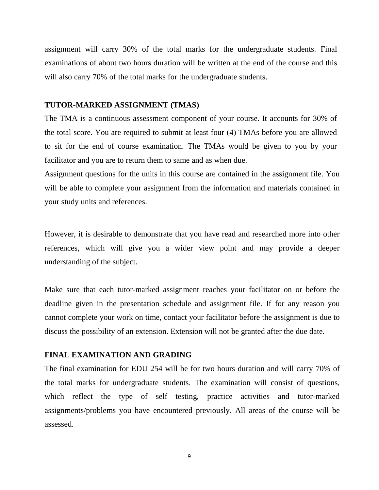assignment will carry 30% of the total marks for the undergraduate students. Final examinations of about two hours duration will be written at the end of the course and this will also carry 70% of the total marks for the undergraduate students.

#### **TUTOR-MARKED ASSIGNMENT (TMAS)**

The TMA is a continuous assessment component of your course. It accounts for 30% of the total score. You are required to submit at least four (4) TMAs before you are allowed to sit for the end of course examination. The TMAs would be given to you by your facilitator and you are to return them to same and as when due.

Assignment questions for the units in this course are contained in the assignment file. You will be able to complete your assignment from the information and materials contained in your study units and references.

However, it is desirable to demonstrate that you have read and researched more into other references, which will give you a wider view point and may provide a deeper understanding of the subject.

Make sure that each tutor-marked assignment reaches your facilitator on or before the deadline given in the presentation schedule and assignment file. If for any reason you cannot complete your work on time, contact your facilitator before the assignment is due to discuss the possibility of an extension. Extension will not be granted after the due date.

### **FINAL EXAMINATION AND GRADING**

The final examination for EDU 254 will be for two hours duration and will carry 70% of the total marks for undergraduate students. The examination will consist of questions, which reflect the type of self testing, practice activities and tutor-marked assignments/problems you have encountered previously. All areas of the course will be assessed.

9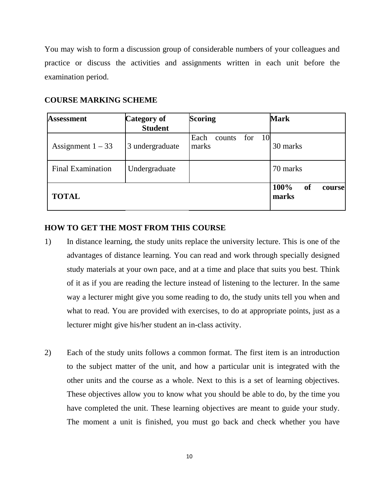You may wish to form a discussion group of considerable numbers of your colleagues and practice or discuss the activities and assignments written in each unit before the examination period.

# **COURSE MARKING SCHEME**

| <b>Assessment</b>        | Category of<br><b>Student</b> | <b>Scoring</b>                         | <b>Mark</b>                   |
|--------------------------|-------------------------------|----------------------------------------|-------------------------------|
| Assignment $1 - 33$      | 3 undergraduate               | for<br>- 10<br>Each<br>counts<br>marks | 30 marks                      |
| <b>Final Examination</b> | Undergraduate                 |                                        | 70 marks                      |
| <b>TOTAL</b>             |                               |                                        | 100%<br>of<br>course<br>marks |

# **HOW TO GET THE MOST FROM THIS COURSE**

- 1) In distance learning, the study units replace the university lecture. This is one of the advantages of distance learning. You can read and work through specially designed study materials at your own pace, and at a time and place that suits you best. Think of it as if you are reading the lecture instead of listening to the lecturer. In the same way a lecturer might give you some reading to do, the study units tell you when and what to read. You are provided with exercises, to do at appropriate points, just as a lecturer might give his/her student an in-class activity.
- 2) Each of the study units follows a common format. The first item is an introduction to the subject matter of the unit, and how a particular unit is integrated with the other units and the course as a whole. Next to this is a set of learning objectives. These objectives allow you to know what you should be able to do, by the time you have completed the unit. These learning objectives are meant to guide your study. The moment a unit is finished, you must go back and check whether you have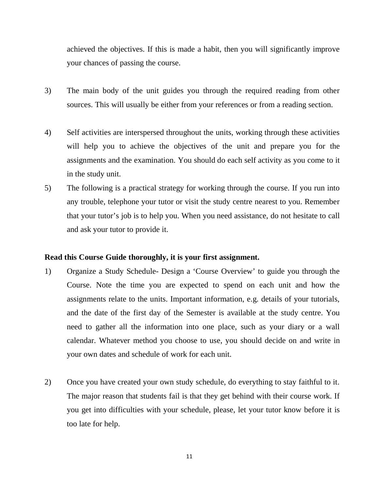achieved the objectives. If this is made a habit, then you will significantly improve your chances of passing the course.

- 3) The main body of the unit guides you through the required reading from other sources. This will usually be either from your references or from a reading section.
- 4) Self activities are interspersed throughout the units, working through these activities will help you to achieve the objectives of the unit and prepare you for the assignments and the examination. You should do each self activity as you come to it in the study unit.
- 5) The following is a practical strategy for working through the course. If you run into any trouble, telephone your tutor or visit the study centre nearest to you. Remember that your tutor's job is to help you. When you need assistance, do not hesitate to call and ask your tutor to provide it.

# **Read this Course Guide thoroughly, it is your first assignment.**

- 1) Organize a Study Schedule- Design a 'Course Overview' to guide you through the Course. Note the time you are expected to spend on each unit and how the assignments relate to the units. Important information, e.g. details of your tutorials, and the date of the first day of the Semester is available at the study centre. You need to gather all the information into one place, such as your diary or a wall calendar. Whatever method you choose to use, you should decide on and write in your own dates and schedule of work for each unit.
- 2) Once you have created your own study schedule, do everything to stay faithful to it. The major reason that students fail is that they get behind with their course work. If you get into difficulties with your schedule, please, let your tutor know before it is too late for help.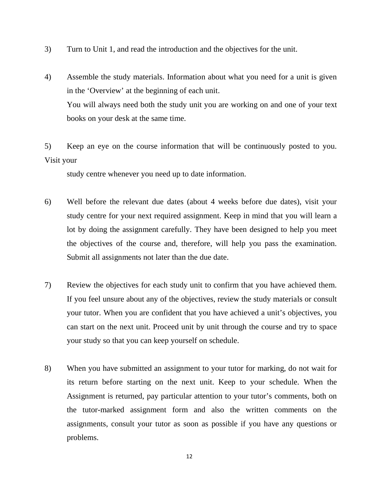- 3) Turn to Unit 1, and read the introduction and the objectives for the unit.
- 4) Assemble the study materials. Information about what you need for a unit is given in the 'Overview' at the beginning of each unit. You will always need both the study unit you are working on and one of your text books on your desk at the same time.

5) Keep an eye on the course information that will be continuously posted to you. Visit your

study centre whenever you need up to date information.

- 6) Well before the relevant due dates (about 4 weeks before due dates), visit your study centre for your next required assignment. Keep in mind that you will learn a lot by doing the assignment carefully. They have been designed to help you meet the objectives of the course and, therefore, will help you pass the examination. Submit all assignments not later than the due date.
- 7) Review the objectives for each study unit to confirm that you have achieved them. If you feel unsure about any of the objectives, review the study materials or consult your tutor. When you are confident that you have achieved a unit's objectives, you can start on the next unit. Proceed unit by unit through the course and try to space your study so that you can keep yourself on schedule.
- 8) When you have submitted an assignment to your tutor for marking, do not wait for its return before starting on the next unit. Keep to your schedule. When the Assignment is returned, pay particular attention to your tutor's comments, both on the tutor-marked assignment form and also the written comments on the assignments, consult your tutor as soon as possible if you have any questions or problems.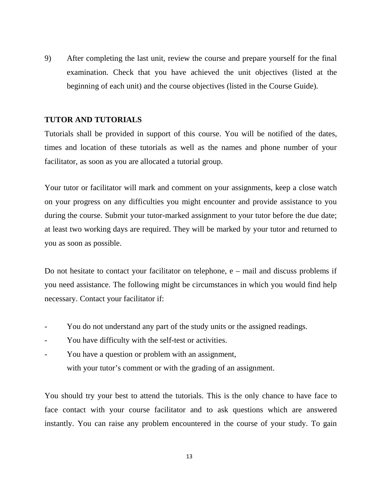9) After completing the last unit, review the course and prepare yourself for the final examination. Check that you have achieved the unit objectives (listed at the beginning of each unit) and the course objectives (listed in the Course Guide).

# **TUTOR AND TUTORIALS**

Tutorials shall be provided in support of this course. You will be notified of the dates, times and location of these tutorials as well as the names and phone number of your facilitator, as soon as you are allocated a tutorial group.

Your tutor or facilitator will mark and comment on your assignments, keep a close watch on your progress on any difficulties you might encounter and provide assistance to you during the course. Submit your tutor-marked assignment to your tutor before the due date; at least two working days are required. They will be marked by your tutor and returned to you as soon as possible.

Do not hesitate to contact your facilitator on telephone, e – mail and discuss problems if you need assistance. The following might be circumstances in which you would find help necessary. Contact your facilitator if:

- You do not understand any part of the study units or the assigned readings.
- You have difficulty with the self-test or activities.
- You have a question or problem with an assignment, with your tutor's comment or with the grading of an assignment.

You should try your best to attend the tutorials. This is the only chance to have face to face contact with your course facilitator and to ask questions which are answered instantly. You can raise any problem encountered in the course of your study. To gain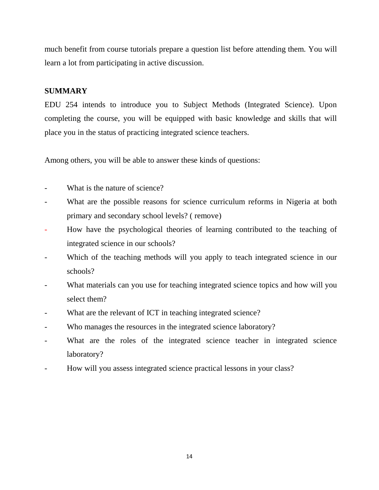much benefit from course tutorials prepare a question list before attending them. You will learn a lot from participating in active discussion.

# **SUMMARY**

EDU 254 intends to introduce you to Subject Methods (Integrated Science). Upon completing the course, you will be equipped with basic knowledge and skills that will place you in the status of practicing integrated science teachers.

Among others, you will be able to answer these kinds of questions:

- What is the nature of science?
- What are the possible reasons for science curriculum reforms in Nigeria at both primary and secondary school levels? ( remove)
- How have the psychological theories of learning contributed to the teaching of integrated science in our schools?
- Which of the teaching methods will you apply to teach integrated science in our schools?
- What materials can you use for teaching integrated science topics and how will you select them?
- What are the relevant of ICT in teaching integrated science?
- Who manages the resources in the integrated science laboratory?
- What are the roles of the integrated science teacher in integrated science laboratory?
- How will you assess integrated science practical lessons in your class?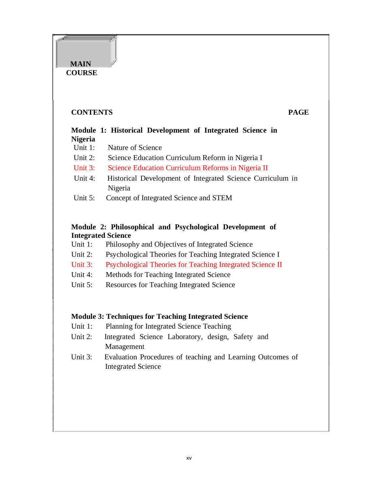# **CONTENTS PAGE**

**MAIN COURSE** 

# **Module 1: Historical Development of Integrated Science in Nigeria**

- Unit 1: Nature of Science
- Unit 2: Science Education Curriculum Reform in Nigeria I
- Unit 3: Science Education Curriculum Reforms in Nigeria II
- Unit 4: Historical Development of Integrated Science Curriculum in Nigeria
- Unit 5: Concept of Integrated Science and STEM

# **Module 2: Philosophical and Psychological Development of Integrated Science**

- Unit 1: Philosophy and Objectives of Integrated Science
- Unit 2: Psychological Theories for Teaching Integrated Science I
- Unit 3: Psychological Theories for Teaching Integrated Science II
- Unit 4: Methods for Teaching Integrated Science
- Unit 5: Resources for Teaching Integrated Science

# **Module 3: Techniques for Teaching Integrated Science**

- Unit 1: Planning for Integrated Science Teaching
- Unit 2: Integrated Science Laboratory, design, Safety and Management
- Unit 3: Evaluation Procedures of teaching and Learning Outcomes of Integrated Science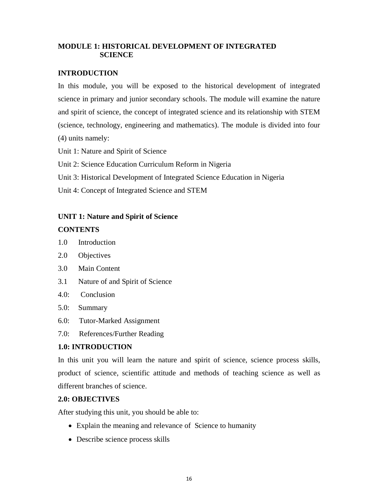# **MODULE 1: HISTORICAL DEVELOPMENT OF INTEGRATED SCIENCE**

# **INTRODUCTION**

In this module, you will be exposed to the historical development of integrated science in primary and junior secondary schools. The module will examine the nature and spirit of science, the concept of integrated science and its relationship with STEM (science, technology, engineering and mathematics). The module is divided into four (4) units namely:

Unit 1: Nature and Spirit of Science

Unit 2: Science Education Curriculum Reform in Nigeria

Unit 3: Historical Development of Integrated Science Education in Nigeria

Unit 4: Concept of Integrated Science and STEM

# **UNIT 1: Nature and Spirit of Science**

### **CONTENTS**

- 1.0 Introduction
- 2.0 Objectives
- 3.0 Main Content
- 3.1 Nature of and Spirit of Science
- 4.0: Conclusion
- 5.0: Summary
- 6.0: Tutor-Marked Assignment
- 7.0: References/Further Reading

# **1.0: INTRODUCTION**

In this unit you will learn the nature and spirit of science, science process skills, product of science, scientific attitude and methods of teaching science as well as different branches of science.

# **2.0: OBJECTIVES**

After studying this unit, you should be able to:

- Explain the meaning and relevance of Science to humanity
- Describe science process skills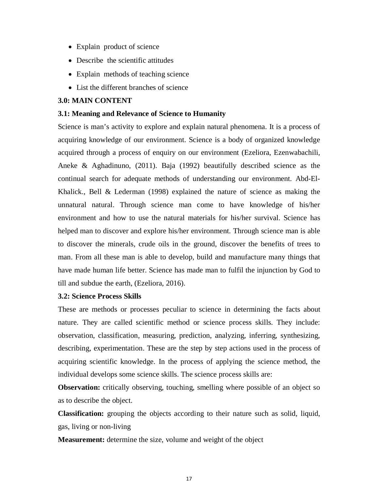- Explain product of science
- Describe the scientific attitudes
- Explain methods of teaching science
- List the different branches of science

#### **3.0: MAIN CONTENT**

#### **3.1: Meaning and Relevance of Science to Humanity**

Science is man's activity to explore and explain natural phenomena. It is a process of acquiring knowledge of our environment. Science is a body of organized knowledge acquired through a process of enquiry on our environment (Ezeliora, Ezenwabachili, Aneke & Aghadinuno, (2011). Baja (1992) beautifully described science as the continual search for adequate methods of understanding our environment. Abd-El-Khalick., Bell & Lederman (1998) explained the nature of science as making the unnatural natural. Through science man come to have knowledge of his/her environment and how to use the natural materials for his/her survival. Science has helped man to discover and explore his/her environment. Through science man is able to discover the minerals, crude oils in the ground, discover the benefits of trees to man. From all these man is able to develop, build and manufacture many things that have made human life better. Science has made man to fulfil the injunction by God to till and subdue the earth, (Ezeliora, 2016).

#### **3.2: Science Process Skills**

These are methods or processes peculiar to science in determining the facts about nature. They are called scientific method or science process skills. They include: observation, classification, measuring, prediction, analyzing, inferring, synthesizing, describing, experimentation. These are the step by step actions used in the process of acquiring scientific knowledge. In the process of applying the science method, the individual develops some science skills. The science process skills are:

**Observation:** critically observing, touching, smelling where possible of an object so as to describe the object.

**Classification:** grouping the objects according to their nature such as solid, liquid, gas, living or non-living

**Measurement:** determine the size, volume and weight of the object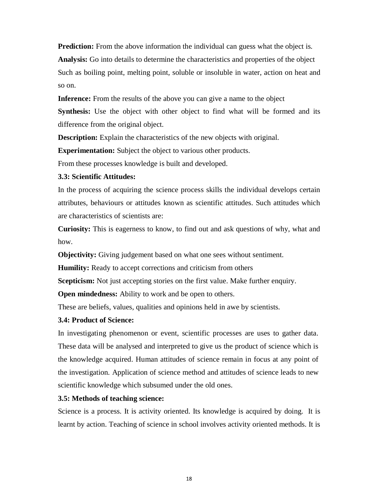**Prediction:** From the above information the individual can guess what the object is. **Analysis:** Go into details to determine the characteristics and properties of the object Such as boiling point, melting point, soluble or insoluble in water, action on heat and so on.

**Inference:** From the results of the above you can give a name to the object

**Synthesis:** Use the object with other object to find what will be formed and its difference from the original object.

**Description:** Explain the characteristics of the new objects with original.

**Experimentation:** Subject the object to various other products.

From these processes knowledge is built and developed.

### **3.3: Scientific Attitudes:**

In the process of acquiring the science process skills the individual develops certain attributes, behaviours or attitudes known as scientific attitudes. Such attitudes which are characteristics of scientists are:

**Curiosity:** This is eagerness to know, to find out and ask questions of why, what and how.

**Objectivity:** Giving judgement based on what one sees without sentiment.

**Humility:** Ready to accept corrections and criticism from others

**Scepticism:** Not just accepting stories on the first value. Make further enquiry.

**Open mindedness:** Ability to work and be open to others.

These are beliefs, values, qualities and opinions held in awe by scientists.

# **3.4: Product of Science:**

In investigating phenomenon or event, scientific processes are uses to gather data. These data will be analysed and interpreted to give us the product of science which is the knowledge acquired. Human attitudes of science remain in focus at any point of the investigation. Application of science method and attitudes of science leads to new scientific knowledge which subsumed under the old ones.

# **3.5: Methods of teaching science:**

Science is a process. It is activity oriented. Its knowledge is acquired by doing. It is learnt by action. Teaching of science in school involves activity oriented methods. It is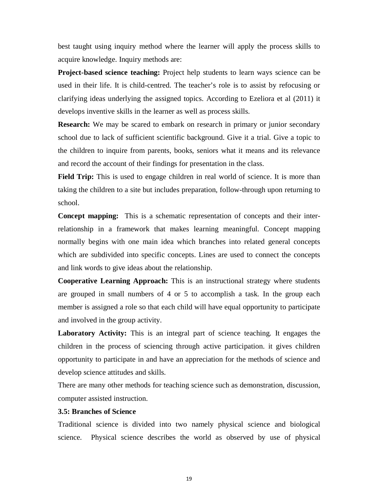best taught using inquiry method where the learner will apply the process skills to acquire knowledge. Inquiry methods are:

**Project-based science teaching:** Project help students to learn ways science can be used in their life. It is child-centred. The teacher's role is to assist by refocusing or clarifying ideas underlying the assigned topics. According to Ezeliora et al (2011) it develops inventive skills in the learner as well as process skills.

**Research:** We may be scared to embark on research in primary or junior secondary school due to lack of sufficient scientific background. Give it a trial. Give a topic to the children to inquire from parents, books, seniors what it means and its relevance and record the account of their findings for presentation in the class.

**Field Trip:** This is used to engage children in real world of science. It is more than taking the children to a site but includes preparation, follow-through upon returning to school.

**Concept mapping:** This is a schematic representation of concepts and their interrelationship in a framework that makes learning meaningful. Concept mapping normally begins with one main idea which branches into related general concepts which are subdivided into specific concepts. Lines are used to connect the concepts and link words to give ideas about the relationship.

**Cooperative Learning Approach:** This is an instructional strategy where students are grouped in small numbers of 4 or 5 to accomplish a task. In the group each member is assigned a role so that each child will have equal opportunity to participate and involved in the group activity.

**Laboratory Activity:** This is an integral part of science teaching. It engages the children in the process of sciencing through active participation. it gives children opportunity to participate in and have an appreciation for the methods of science and develop science attitudes and skills.

There are many other methods for teaching science such as demonstration, discussion, computer assisted instruction.

#### **3.5: Branches of Science**

Traditional science is divided into two namely physical science and biological science. Physical science describes the world as observed by use of physical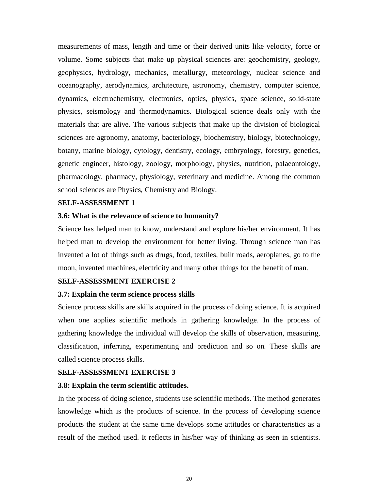measurements of mass, length and time or their derived units like velocity, force or volume. Some subjects that make up physical sciences are: geochemistry, geology, geophysics, hydrology, mechanics, metallurgy, meteorology, nuclear science and oceanography, aerodynamics, architecture, astronomy, chemistry, computer science, dynamics, electrochemistry, electronics, optics, physics, space science, solid-state physics, seismology and thermodynamics. Biological science deals only with the materials that are alive. The various subjects that make up the division of biological sciences are agronomy, anatomy, bacteriology, biochemistry, biology, biotechnology, botany, marine biology, cytology, dentistry, ecology, embryology, forestry, genetics, genetic engineer, histology, zoology, morphology, physics, nutrition, palaeontology, pharmacology, pharmacy, physiology, veterinary and medicine. Among the common school sciences are Physics, Chemistry and Biology.

#### **SELF-ASSESSMENT 1**

#### **3.6: What is the relevance of science to humanity?**

Science has helped man to know, understand and explore his/her environment. It has helped man to develop the environment for better living. Through science man has invented a lot of things such as drugs, food, textiles, built roads, aeroplanes, go to the moon, invented machines, electricity and many other things for the benefit of man.

#### **SELF-ASSESSMENT EXERCISE 2**

#### **3.7: Explain the term science process skills**

Science process skills are skills acquired in the process of doing science. It is acquired when one applies scientific methods in gathering knowledge. In the process of gathering knowledge the individual will develop the skills of observation, measuring, classification, inferring, experimenting and prediction and so on. These skills are called science process skills.

#### **SELF-ASSESSMENT EXERCISE 3**

#### **3.8: Explain the term scientific attitudes.**

In the process of doing science, students use scientific methods. The method generates knowledge which is the products of science. In the process of developing science products the student at the same time develops some attitudes or characteristics as a result of the method used. It reflects in his/her way of thinking as seen in scientists.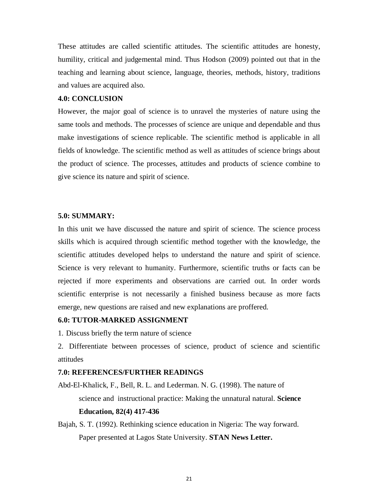These attitudes are called scientific attitudes. The scientific attitudes are honesty, humility, critical and judgemental mind. Thus Hodson (2009) pointed out that in the teaching and learning about science, language, theories, methods, history, traditions and values are acquired also.

#### **4.0: CONCLUSION**

However, the major goal of science is to unravel the mysteries of nature using the same tools and methods. The processes of science are unique and dependable and thus make investigations of science replicable. The scientific method is applicable in all fields of knowledge. The scientific method as well as attitudes of science brings about the product of science. The processes, attitudes and products of science combine to give science its nature and spirit of science.

#### **5.0: SUMMARY:**

In this unit we have discussed the nature and spirit of science. The science process skills which is acquired through scientific method together with the knowledge, the scientific attitudes developed helps to understand the nature and spirit of science. Science is very relevant to humanity. Furthermore, scientific truths or facts can be rejected if more experiments and observations are carried out. In order words scientific enterprise is not necessarily a finished business because as more facts emerge, new questions are raised and new explanations are proffered.

#### **6.0: TUTOR-MARKED ASSIGNMENT**

1. Discuss briefly the term nature of science

2. Differentiate between processes of science, product of science and scientific attitudes

#### **7.0: REFERENCES/FURTHER READINGS**

- Abd-El-Khalick, F., Bell, R. L. and Lederman. N. G. (1998). The nature of science and instructional practice: Making the unnatural natural. **Science Education, 82(4) 417-436**
- Bajah, S. T. (1992). Rethinking science education in Nigeria: The way forward. Paper presented at Lagos State University. **STAN News Letter.**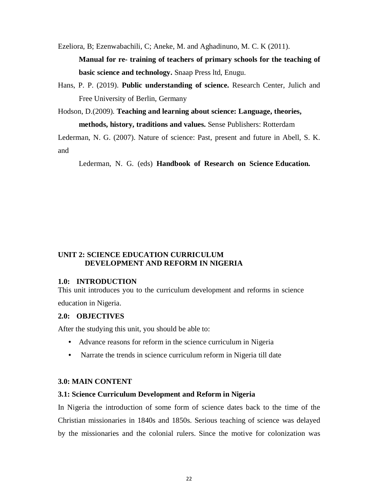Ezeliora, B; Ezenwabachili, C; Aneke, M. and Aghadinuno, M. C. K (2011).

**Manual for re- training of teachers of primary schools for the teaching of basic science and technology.** Snaap Press ltd, Enugu.

Hans, P. P. (2019). **Public understanding of science.** Research Center, Julich and Free University of Berlin, Germany

Hodson, D.(2009). **Teaching and learning about science: Language, theories, methods, history, traditions and values.** Sense Publishers: Rotterdam

Lederman, N. G. (2007). Nature of science: Past, present and future in Abell, S. K. and

Lederman, N. G. (eds) **Handbook of Research on Science Education.** 

#### **UNIT 2: SCIENCE EDUCATION CURRICULUM DEVELOPMENT AND REFORM IN NIGERIA**

#### **1.0: INTRODUCTION**

This unit introduces you to the curriculum development and reforms in science

education in Nigeria.

### **2.0: OBJECTIVES**

After the studying this unit, you should be able to:

- Advance reasons for reform in the science curriculum in Nigeria
- Narrate the trends in science curriculum reform in Nigeria till date

#### **3.0: MAIN CONTENT**

#### **3.1: Science Curriculum Development and Reform in Nigeria**

In Nigeria the introduction of some form of science dates back to the time of the Christian missionaries in 1840s and 1850s. Serious teaching of science was delayed by the missionaries and the colonial rulers. Since the motive for colonization was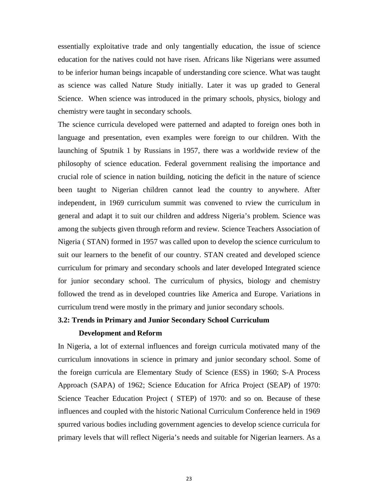essentially exploitative trade and only tangentially education, the issue of science education for the natives could not have risen. Africans like Nigerians were assumed to be inferior human beings incapable of understanding core science. What was taught as science was called Nature Study initially. Later it was up graded to General Science. When science was introduced in the primary schools, physics, biology and chemistry were taught in secondary schools.

The science curricula developed were patterned and adapted to foreign ones both in language and presentation, even examples were foreign to our children. With the launching of Sputnik 1 by Russians in 1957, there was a worldwide review of the philosophy of science education. Federal government realising the importance and crucial role of science in nation building, noticing the deficit in the nature of science been taught to Nigerian children cannot lead the country to anywhere. After independent, in 1969 curriculum summit was convened to rview the curriculum in general and adapt it to suit our children and address Nigeria's problem. Science was among the subjects given through reform and review. Science Teachers Association of Nigeria ( STAN) formed in 1957 was called upon to develop the science curriculum to suit our learners to the benefit of our country. STAN created and developed science curriculum for primary and secondary schools and later developed Integrated science for junior secondary school. The curriculum of physics, biology and chemistry followed the trend as in developed countries like America and Europe. Variations in curriculum trend were mostly in the primary and junior secondary schools.

#### **3.2: Trends in Primary and Junior Secondary School Curriculum**

### **Development and Reform**

In Nigeria, a lot of external influences and foreign curricula motivated many of the curriculum innovations in science in primary and junior secondary school. Some of the foreign curricula are Elementary Study of Science (ESS) in 1960; S-A Process Approach (SAPA) of 1962; Science Education for Africa Project (SEAP) of 1970: Science Teacher Education Project ( STEP) of 1970: and so on. Because of these influences and coupled with the historic National Curriculum Conference held in 1969 spurred various bodies including government agencies to develop science curricula for primary levels that will reflect Nigeria's needs and suitable for Nigerian learners. As a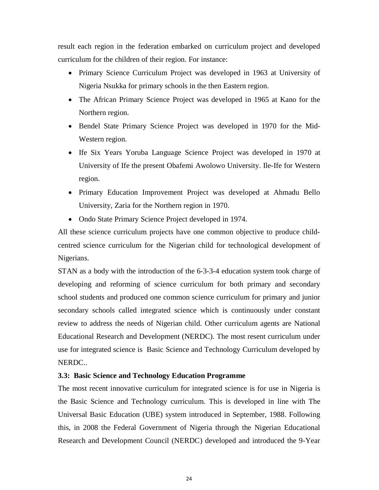result each region in the federation embarked on curriculum project and developed curriculum for the children of their region. For instance:

- Primary Science Curriculum Project was developed in 1963 at University of Nigeria Nsukka for primary schools in the then Eastern region.
- The African Primary Science Project was developed in 1965 at Kano for the Northern region.
- Bendel State Primary Science Project was developed in 1970 for the Mid-Western region.
- Ife Six Years Yoruba Language Science Project was developed in 1970 at University of Ife the present Obafemi Awolowo University. Ile-Ife for Western region.
- Primary Education Improvement Project was developed at Ahmadu Bello University, Zaria for the Northern region in 1970.
- Ondo State Primary Science Project developed in 1974.

All these science curriculum projects have one common objective to produce childcentred science curriculum for the Nigerian child for technological development of Nigerians.

STAN as a body with the introduction of the 6-3-3-4 education system took charge of developing and reforming of science curriculum for both primary and secondary school students and produced one common science curriculum for primary and junior secondary schools called integrated science which is continuously under constant review to address the needs of Nigerian child. Other curriculum agents are National Educational Research and Development (NERDC). The most resent curriculum under use for integrated science is Basic Science and Technology Curriculum developed by NERDC..

#### **3.3: Basic Science and Technology Education Programme**

The most recent innovative curriculum for integrated science is for use in Nigeria is the Basic Science and Technology curriculum. This is developed in line with The Universal Basic Education (UBE) system introduced in September, 1988. Following this, in 2008 the Federal Government of Nigeria through the Nigerian Educational Research and Development Council (NERDC) developed and introduced the 9-Year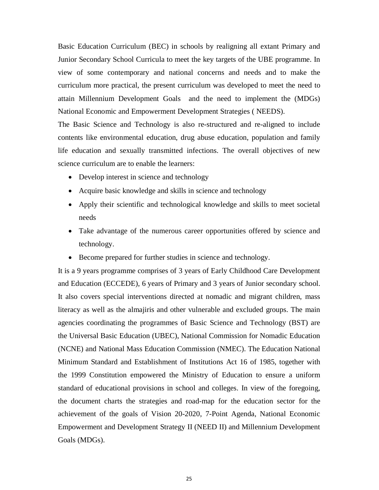Basic Education Curriculum (BEC) in schools by realigning all extant Primary and Junior Secondary School Curricula to meet the key targets of the UBE programme. In view of some contemporary and national concerns and needs and to make the curriculum more practical, the present curriculum was developed to meet the need to attain Millennium Development Goals and the need to implement the (MDGs) National Economic and Empowerment Development Strategies ( NEEDS).

The Basic Science and Technology is also re-structured and re-aligned to include contents like environmental education, drug abuse education, population and family life education and sexually transmitted infections. The overall objectives of new science curriculum are to enable the learners:

- Develop interest in science and technology
- Acquire basic knowledge and skills in science and technology
- Apply their scientific and technological knowledge and skills to meet societal needs
- Take advantage of the numerous career opportunities offered by science and technology.
- Become prepared for further studies in science and technology.

It is a 9 years programme comprises of 3 years of Early Childhood Care Development and Education (ECCEDE), 6 years of Primary and 3 years of Junior secondary school. It also covers special interventions directed at nomadic and migrant children, mass literacy as well as the almajiris and other vulnerable and excluded groups. The main agencies coordinating the programmes of Basic Science and Technology (BST) are the Universal Basic Education (UBEC), National Commission for Nomadic Education (NCNE) and National Mass Education Commission (NMEC). The Education National Minimum Standard and Establishment of Institutions Act 16 of 1985, together with the 1999 Constitution empowered the Ministry of Education to ensure a uniform standard of educational provisions in school and colleges. In view of the foregoing, the document charts the strategies and road-map for the education sector for the achievement of the goals of Vision 20-2020, 7-Point Agenda, National Economic Empowerment and Development Strategy II (NEED II) and Millennium Development Goals (MDGs).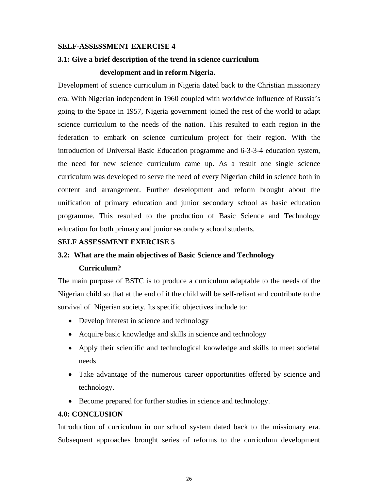#### **SELF-ASSESSMENT EXERCISE 4**

# **3.1: Give a brief description of the trend in science curriculum**

#### **development and in reform Nigeria.**

Development of science curriculum in Nigeria dated back to the Christian missionary era. With Nigerian independent in 1960 coupled with worldwide influence of Russia's going to the Space in 1957, Nigeria government joined the rest of the world to adapt science curriculum to the needs of the nation. This resulted to each region in the federation to embark on science curriculum project for their region. With the introduction of Universal Basic Education programme and 6-3-3-4 education system, the need for new science curriculum came up. As a result one single science curriculum was developed to serve the need of every Nigerian child in science both in content and arrangement. Further development and reform brought about the unification of primary education and junior secondary school as basic education programme. This resulted to the production of Basic Science and Technology education for both primary and junior secondary school students.

#### **SELF ASSESSMENT EXERCISE 5**

#### **3.2: What are the main objectives of Basic Science and Technology**

#### **Curriculum?**

The main purpose of BSTC is to produce a curriculum adaptable to the needs of the Nigerian child so that at the end of it the child will be self-reliant and contribute to the survival of Nigerian society. Its specific objectives include to:

- Develop interest in science and technology
- Acquire basic knowledge and skills in science and technology
- Apply their scientific and technological knowledge and skills to meet societal needs
- Take advantage of the numerous career opportunities offered by science and technology.
- Become prepared for further studies in science and technology.

#### **4.0: CONCLUSION**

Introduction of curriculum in our school system dated back to the missionary era. Subsequent approaches brought series of reforms to the curriculum development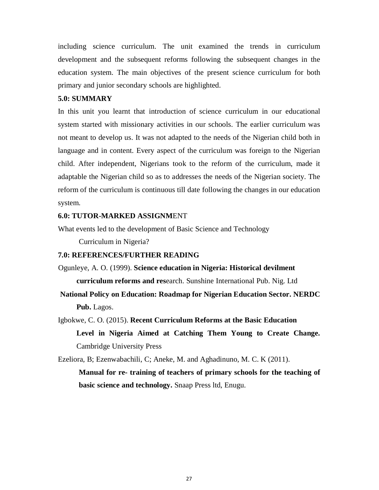including science curriculum. The unit examined the trends in curriculum development and the subsequent reforms following the subsequent changes in the education system. The main objectives of the present science curriculum for both primary and junior secondary schools are highlighted.

#### **5.0: SUMMARY**

In this unit you learnt that introduction of science curriculum in our educational system started with missionary activities in our schools. The earlier curriculum was not meant to develop us. It was not adapted to the needs of the Nigerian child both in language and in content. Every aspect of the curriculum was foreign to the Nigerian child. After independent, Nigerians took to the reform of the curriculum, made it adaptable the Nigerian child so as to addresses the needs of the Nigerian society. The reform of the curriculum is continuous till date following the changes in our education system.

#### **6.0: TUTOR-MARKED ASSIGNM**ENT

What events led to the development of Basic Science and Technology

Curriculum in Nigeria?

### **7.0: REFERENCES/FURTHER READING**

Ogunleye, A. O. (1999). **Science education in Nigeria: Historical devilment curriculum reforms and res**earch. Sunshine International Pub. Nig. Ltd

**National Policy on Education: Roadmap for Nigerian Education Sector. NERDC**  Pub. Lagos.

# Igbokwe, C. O. (2015). **Recent Curriculum Reforms at the Basic Education Level in Nigeria Aimed at Catching Them Young to Create Change.**  Cambridge University Press

Ezeliora, B; Ezenwabachili, C; Aneke, M. and Aghadinuno, M. C. K (2011).

**Manual for re- training of teachers of primary schools for the teaching of basic science and technology.** Snaap Press ltd, Enugu.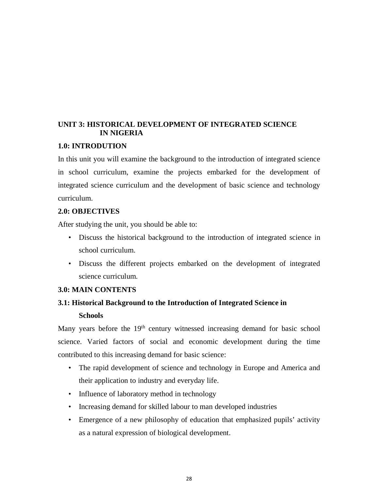# **UNIT 3: HISTORICAL DEVELOPMENT OF INTEGRATED SCIENCE IN NIGERIA**

#### **1.0: INTRODUTION**

In this unit you will examine the background to the introduction of integrated science in school curriculum, examine the projects embarked for the development of integrated science curriculum and the development of basic science and technology curriculum.

### **2.0: OBJECTIVES**

After studying the unit, you should be able to:

- Discuss the historical background to the introduction of integrated science in school curriculum.
- Discuss the different projects embarked on the development of integrated science curriculum.

#### **3.0: MAIN CONTENTS**

# **3.1: Historical Background to the Introduction of Integrated Science in Schools**

Many years before the 19<sup>th</sup> century witnessed increasing demand for basic school science. Varied factors of social and economic development during the time contributed to this increasing demand for basic science:

- The rapid development of science and technology in Europe and America and their application to industry and everyday life.
- Influence of laboratory method in technology
- Increasing demand for skilled labour to man developed industries
- Emergence of a new philosophy of education that emphasized pupils' activity as a natural expression of biological development.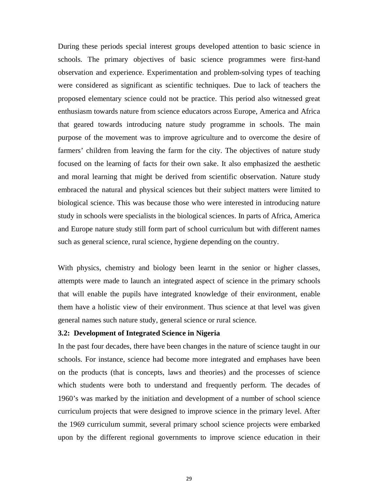During these periods special interest groups developed attention to basic science in schools. The primary objectives of basic science programmes were first-hand observation and experience. Experimentation and problem-solving types of teaching were considered as significant as scientific techniques. Due to lack of teachers the proposed elementary science could not be practice. This period also witnessed great enthusiasm towards nature from science educators across Europe, America and Africa that geared towards introducing nature study programme in schools. The main purpose of the movement was to improve agriculture and to overcome the desire of farmers' children from leaving the farm for the city. The objectives of nature study focused on the learning of facts for their own sake. It also emphasized the aesthetic and moral learning that might be derived from scientific observation. Nature study embraced the natural and physical sciences but their subject matters were limited to biological science. This was because those who were interested in introducing nature study in schools were specialists in the biological sciences. In parts of Africa, America and Europe nature study still form part of school curriculum but with different names such as general science, rural science, hygiene depending on the country.

With physics, chemistry and biology been learnt in the senior or higher classes, attempts were made to launch an integrated aspect of science in the primary schools that will enable the pupils have integrated knowledge of their environment, enable them have a holistic view of their environment. Thus science at that level was given general names such nature study, general science or rural science.

#### **3.2: Development of Integrated Science in Nigeria**

In the past four decades, there have been changes in the nature of science taught in our schools. For instance, science had become more integrated and emphases have been on the products (that is concepts, laws and theories) and the processes of science which students were both to understand and frequently perform. The decades of 1960's was marked by the initiation and development of a number of school science curriculum projects that were designed to improve science in the primary level. After the 1969 curriculum summit, several primary school science projects were embarked upon by the different regional governments to improve science education in their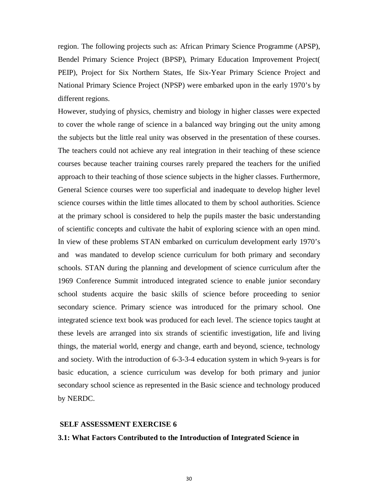region. The following projects such as: African Primary Science Programme (APSP), Bendel Primary Science Project (BPSP), Primary Education Improvement Project( PEIP), Project for Six Northern States, Ife Six-Year Primary Science Project and National Primary Science Project (NPSP) were embarked upon in the early 1970's by different regions.

However, studying of physics, chemistry and biology in higher classes were expected to cover the whole range of science in a balanced way bringing out the unity among the subjects but the little real unity was observed in the presentation of these courses. The teachers could not achieve any real integration in their teaching of these science courses because teacher training courses rarely prepared the teachers for the unified approach to their teaching of those science subjects in the higher classes. Furthermore, General Science courses were too superficial and inadequate to develop higher level science courses within the little times allocated to them by school authorities. Science at the primary school is considered to help the pupils master the basic understanding of scientific concepts and cultivate the habit of exploring science with an open mind. In view of these problems STAN embarked on curriculum development early 1970's and was mandated to develop science curriculum for both primary and secondary schools. STAN during the planning and development of science curriculum after the 1969 Conference Summit introduced integrated science to enable junior secondary school students acquire the basic skills of science before proceeding to senior secondary science. Primary science was introduced for the primary school. One integrated science text book was produced for each level. The science topics taught at these levels are arranged into six strands of scientific investigation, life and living things, the material world, energy and change, earth and beyond, science, technology and society. With the introduction of 6-3-3-4 education system in which 9-years is for basic education, a science curriculum was develop for both primary and junior secondary school science as represented in the Basic science and technology produced by NERDC.

#### **SELF ASSESSMENT EXERCISE 6**

#### **3.1: What Factors Contributed to the Introduction of Integrated Science in**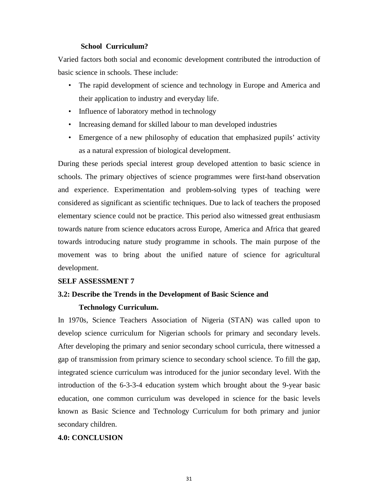#### **School Curriculum?**

Varied factors both social and economic development contributed the introduction of basic science in schools. These include:

- The rapid development of science and technology in Europe and America and their application to industry and everyday life.
- Influence of laboratory method in technology
- Increasing demand for skilled labour to man developed industries
- Emergence of a new philosophy of education that emphasized pupils' activity as a natural expression of biological development.

During these periods special interest group developed attention to basic science in schools. The primary objectives of science programmes were first-hand observation and experience. Experimentation and problem-solving types of teaching were considered as significant as scientific techniques. Due to lack of teachers the proposed elementary science could not be practice. This period also witnessed great enthusiasm towards nature from science educators across Europe, America and Africa that geared towards introducing nature study programme in schools. The main purpose of the movement was to bring about the unified nature of science for agricultural development.

#### **SELF ASSESSMENT 7**

#### **3.2: Describe the Trends in the Development of Basic Science and**

#### **Technology Curriculum.**

In 1970s, Science Teachers Association of Nigeria (STAN) was called upon to develop science curriculum for Nigerian schools for primary and secondary levels. After developing the primary and senior secondary school curricula, there witnessed a gap of transmission from primary science to secondary school science. To fill the gap, integrated science curriculum was introduced for the junior secondary level. With the introduction of the 6-3-3-4 education system which brought about the 9-year basic education, one common curriculum was developed in science for the basic levels known as Basic Science and Technology Curriculum for both primary and junior secondary children.

#### **4.0: CONCLUSION**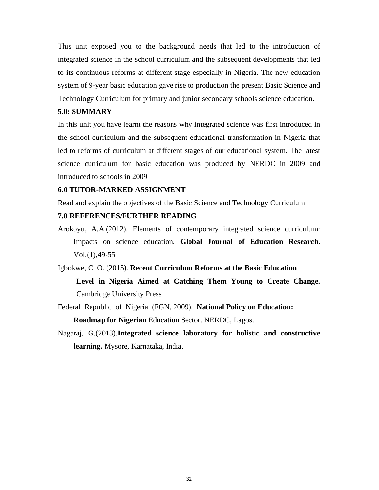This unit exposed you to the background needs that led to the introduction of integrated science in the school curriculum and the subsequent developments that led to its continuous reforms at different stage especially in Nigeria. The new education system of 9-year basic education gave rise to production the present Basic Science and Technology Curriculum for primary and junior secondary schools science education.

#### **5.0: SUMMARY**

In this unit you have learnt the reasons why integrated science was first introduced in the school curriculum and the subsequent educational transformation in Nigeria that led to reforms of curriculum at different stages of our educational system. The latest science curriculum for basic education was produced by NERDC in 2009 and introduced to schools in 2009

#### **6.0 TUTOR-MARKED ASSIGNMENT**

Read and explain the objectives of the Basic Science and Technology Curriculum

#### **7.0 REFERENCES/FURTHER READING**

- Arokoyu, A.A.(2012). Elements of contemporary integrated science curriculum: Impacts on science education. **Global Journal of Education Research.**  $Vol.(1), 49-55$
- Igbokwe, C. O. (2015). **Recent Curriculum Reforms at the Basic Education Level in Nigeria Aimed at Catching Them Young to Create Change.**  Cambridge University Press
- Federal Republic of Nigeria (FGN, 2009). **National Policy on Education: Roadmap for Nigerian** Education Sector. NERDC, Lagos.
- Nagaraj, G.(2013).**Integrated science laboratory for holistic and constructive learning.** Mysore, Karnataka, India.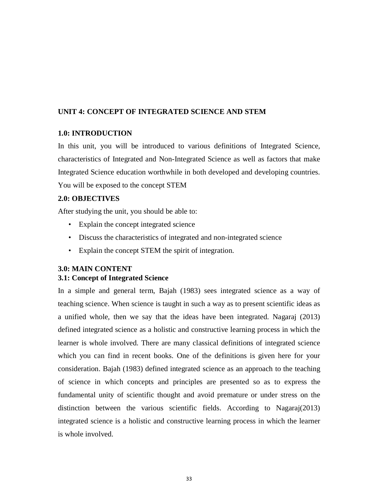#### **UNIT 4: CONCEPT OF INTEGRATED SCIENCE AND STEM**

#### **1.0: INTRODUCTION**

In this unit, you will be introduced to various definitions of Integrated Science, characteristics of Integrated and Non-Integrated Science as well as factors that make Integrated Science education worthwhile in both developed and developing countries. You will be exposed to the concept STEM

# **2.0: OBJECTIVES**

After studying the unit, you should be able to:

- Explain the concept integrated science
- Discuss the characteristics of integrated and non-integrated science
- Explain the concept STEM the spirit of integration.

#### **3.0: MAIN CONTENT 3.1: Concept of Integrated Science**

In a simple and general term, Bajah (1983) sees integrated science as a way of teaching science. When science is taught in such a way as to present scientific ideas as a unified whole, then we say that the ideas have been integrated. Nagaraj (2013) defined integrated science as a holistic and constructive learning process in which the learner is whole involved. There are many classical definitions of integrated science which you can find in recent books. One of the definitions is given here for your consideration. Bajah (1983) defined integrated science as an approach to the teaching of science in which concepts and principles are presented so as to express the fundamental unity of scientific thought and avoid premature or under stress on the distinction between the various scientific fields. According to Nagaraj(2013) integrated science is a holistic and constructive learning process in which the learner is whole involved.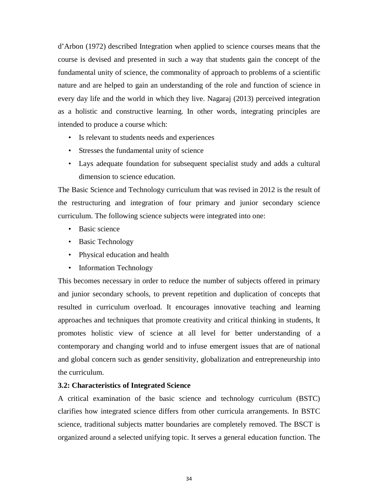d'Arbon (1972) described Integration when applied to science courses means that the course is devised and presented in such a way that students gain the concept of the fundamental unity of science, the commonality of approach to problems of a scientific nature and are helped to gain an understanding of the role and function of science in every day life and the world in which they live. Nagaraj (2013) perceived integration as a holistic and constructive learning. In other words, integrating principles are intended to produce a course which:

- Is relevant to students needs and experiences
- Stresses the fundamental unity of science
- Lays adequate foundation for subsequent specialist study and adds a cultural dimension to science education.

The Basic Science and Technology curriculum that was revised in 2012 is the result of the restructuring and integration of four primary and junior secondary science curriculum. The following science subjects were integrated into one:

- Basic science
- Basic Technology
- Physical education and health
- Information Technology

This becomes necessary in order to reduce the number of subjects offered in primary and junior secondary schools, to prevent repetition and duplication of concepts that resulted in curriculum overload. It encourages innovative teaching and learning approaches and techniques that promote creativity and critical thinking in students, It promotes holistic view of science at all level for better understanding of a contemporary and changing world and to infuse emergent issues that are of national and global concern such as gender sensitivity, globalization and entrepreneurship into the curriculum.

#### **3.2: Characteristics of Integrated Science**

A critical examination of the basic science and technology curriculum (BSTC) clarifies how integrated science differs from other curricula arrangements. In BSTC science, traditional subjects matter boundaries are completely removed. The BSCT is organized around a selected unifying topic. It serves a general education function. The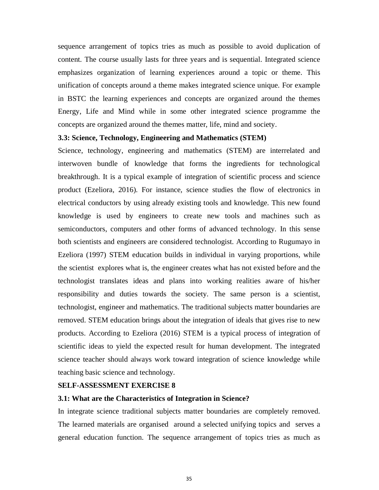sequence arrangement of topics tries as much as possible to avoid duplication of content. The course usually lasts for three years and is sequential. Integrated science emphasizes organization of learning experiences around a topic or theme. This unification of concepts around a theme makes integrated science unique. For example in BSTC the learning experiences and concepts are organized around the themes Energy, Life and Mind while in some other integrated science programme the concepts are organized around the themes matter, life, mind and society.

#### **3.3: Science, Technology, Engineering and Mathematics (STEM)**

Science, technology, engineering and mathematics (STEM) are interrelated and interwoven bundle of knowledge that forms the ingredients for technological breakthrough. It is a typical example of integration of scientific process and science product (Ezeliora, 2016). For instance, science studies the flow of electronics in electrical conductors by using already existing tools and knowledge. This new found knowledge is used by engineers to create new tools and machines such as semiconductors, computers and other forms of advanced technology. In this sense both scientists and engineers are considered technologist. According to Rugumayo in Ezeliora (1997) STEM education builds in individual in varying proportions, while the scientist explores what is, the engineer creates what has not existed before and the technologist translates ideas and plans into working realities aware of his/her responsibility and duties towards the society. The same person is a scientist, technologist, engineer and mathematics. The traditional subjects matter boundaries are removed. STEM education brings about the integration of ideals that gives rise to new products. According to Ezeliora (2016) STEM is a typical process of integration of scientific ideas to yield the expected result for human development. The integrated science teacher should always work toward integration of science knowledge while teaching basic science and technology.

#### **SELF-ASSESSMENT EXERCISE 8**

#### **3.1: What are the Characteristics of Integration in Science?**

In integrate science traditional subjects matter boundaries are completely removed. The learned materials are organised around a selected unifying topics and serves a general education function. The sequence arrangement of topics tries as much as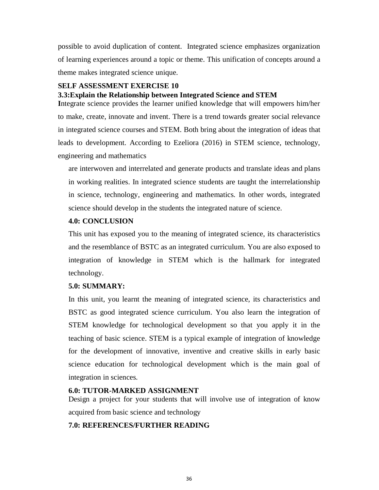possible to avoid duplication of content. Integrated science emphasizes organization of learning experiences around a topic or theme. This unification of concepts around a theme makes integrated science unique.

#### **SELF ASSESSMENT EXERCISE 10**

#### **3.3:Explain the Relationship between Integrated Science and STEM**

**I**ntegrate science provides the learner unified knowledge that will empowers him/her to make, create, innovate and invent. There is a trend towards greater social relevance in integrated science courses and STEM. Both bring about the integration of ideas that leads to development. According to Ezeliora (2016) in STEM science, technology, engineering and mathematics

are interwoven and interrelated and generate products and translate ideas and plans in working realities. In integrated science students are taught the interrelationship in science, technology, engineering and mathematics. In other words, integrated science should develop in the students the integrated nature of science.

### **4.0: CONCLUSION**

This unit has exposed you to the meaning of integrated science, its characteristics and the resemblance of BSTC as an integrated curriculum. You are also exposed to integration of knowledge in STEM which is the hallmark for integrated technology.

# **5.0: SUMMARY:**

In this unit, you learnt the meaning of integrated science, its characteristics and BSTC as good integrated science curriculum. You also learn the integration of STEM knowledge for technological development so that you apply it in the teaching of basic science. STEM is a typical example of integration of knowledge for the development of innovative, inventive and creative skills in early basic science education for technological development which is the main goal of integration in sciences.

#### **6.0: TUTOR-MARKED ASSIGNMENT**

Design a project for your students that will involve use of integration of know acquired from basic science and technology

# **7.0: REFERENCES/FURTHER READING**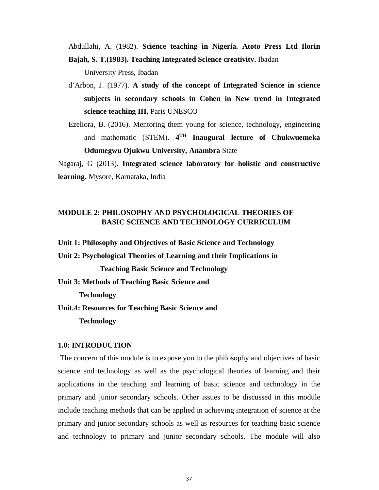Abdullahi, A. (1982). **Science teaching in Nigeria. Atoto Press Ltd Ilorin Bajah, S. T.(1983). Teaching Integrated Science creativity.** Ibadan

University Press, Ibadan

- d'Arbon, J. (1977). **A study of the concept of Integrated Science in science subjects in secondary schools in Cohen in New trend in Integrated science teaching III,** Paris UNESCO
- Ezeliora, B. (2016). Mentoring them young for science, technology, engineering and mathematic (STEM). **4 TH Inaugural lecture of Chukwuemeka Odumegwu Ojukwu University, Anambra** State

Nagaraj, G (2013). **Integrated science laboratory for holistic and constructive learning.** Mysore, Karnataka, India

# **MODULE 2: PHILOSOPHY AND PSYCHOLOGICAL THEORIES OF BASIC SCIENCE AND TECHNOLOGY CURRICULUM**

**Unit 1: Philosophy and Objectives of Basic Science and Technology** 

**Unit 2: Psychological Theories of Learning and their Implications in** 

**Teaching Basic Science and Technology** 

**Unit 3: Methods of Teaching Basic Science and** 

**Technology** 

**Unit.4: Resources for Teaching Basic Science and** 

**Technology** 

### **1.0: INTRODUCTION**

The concern of this module is to expose you to the philosophy and objectives of basic science and technology as well as the psychological theories of learning and their applications in the teaching and learning of basic science and technology in the primary and junior secondary schools. Other issues to be discussed in this module include teaching methods that can be applied in achieving integration of science at the primary and junior secondary schools as well as resources for teaching basic science and technology to primary and junior secondary schools. The module will also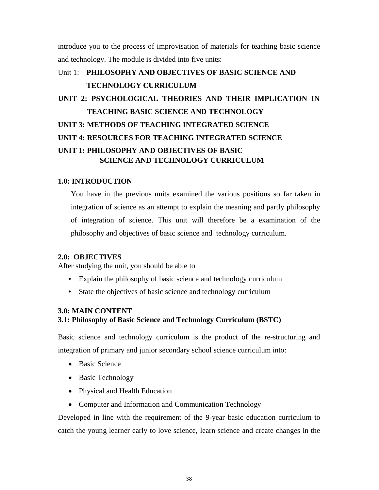introduce you to the process of improvisation of materials for teaching basic science and technology. The module is divided into five units:

# Unit 1: **PHILOSOPHY AND OBJECTIVES OF BASIC SCIENCE AND TECHNOLOGY CURRICULUM**

# **UNIT 2: PSYCHOLOGICAL THEORIES AND THEIR IMPLICATION IN TEACHING BASIC SCIENCE AND TECHNOLOGY UNIT 3: METHODS OF TEACHING INTEGRATED SCIENCE UNIT 4: RESOURCES FOR TEACHING INTEGRATED SCIENCE UNIT 1: PHILOSOPHY AND OBJECTIVES OF BASIC SCIENCE AND TECHNOLOGY CURRICULUM**

### **1.0: INTRODUCTION**

You have in the previous units examined the various positions so far taken in integration of science as an attempt to explain the meaning and partly philosophy of integration of science. This unit will therefore be a examination of the philosophy and objectives of basic science and technology curriculum.

### **2.0: OBJECTIVES**

After studying the unit, you should be able to

- Explain the philosophy of basic science and technology curriculum
- State the objectives of basic science and technology curriculum

#### **3.0: MAIN CONTENT**

### **3.1: Philosophy of Basic Science and Technology Curriculum (BSTC)**

Basic science and technology curriculum is the product of the re-structuring and integration of primary and junior secondary school science curriculum into:

- Basic Science
- Basic Technology
- Physical and Health Education
- Computer and Information and Communication Technology

Developed in line with the requirement of the 9-year basic education curriculum to catch the young learner early to love science, learn science and create changes in the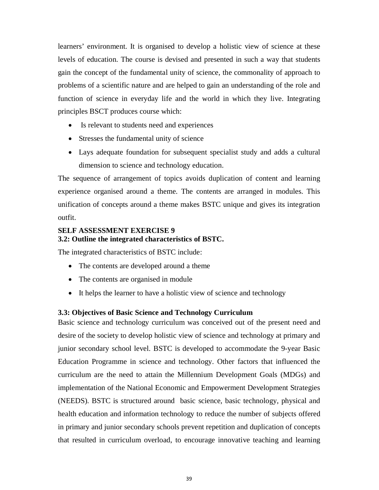learners' environment. It is organised to develop a holistic view of science at these levels of education. The course is devised and presented in such a way that students gain the concept of the fundamental unity of science, the commonality of approach to problems of a scientific nature and are helped to gain an understanding of the role and function of science in everyday life and the world in which they live. Integrating principles BSCT produces course which:

- Is relevant to students need and experiences
- Stresses the fundamental unity of science
- Lays adequate foundation for subsequent specialist study and adds a cultural dimension to science and technology education.

The sequence of arrangement of topics avoids duplication of content and learning experience organised around a theme. The contents are arranged in modules. This unification of concepts around a theme makes BSTC unique and gives its integration outfit.

# **SELF ASSESSMENT EXERCISE 9 3.2: Outline the integrated characteristics of BSTC.**

The integrated characteristics of BSTC include:

- The contents are developed around a theme
- The contents are organised in module
- It helps the learner to have a holistic view of science and technology

### **3.3: Objectives of Basic Science and Technology Curriculum**

Basic science and technology curriculum was conceived out of the present need and desire of the society to develop holistic view of science and technology at primary and junior secondary school level. BSTC is developed to accommodate the 9-year Basic Education Programme in science and technology. Other factors that influenced the curriculum are the need to attain the Millennium Development Goals (MDGs) and implementation of the National Economic and Empowerment Development Strategies (NEEDS). BSTC is structured around basic science, basic technology, physical and health education and information technology to reduce the number of subjects offered in primary and junior secondary schools prevent repetition and duplication of concepts that resulted in curriculum overload, to encourage innovative teaching and learning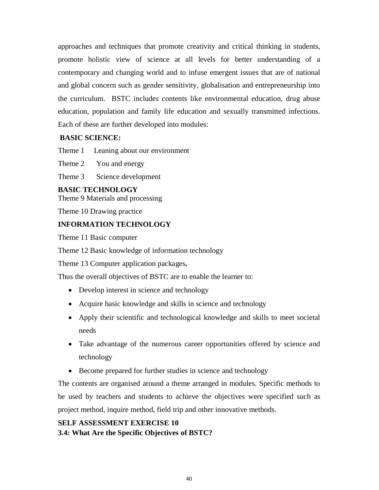approaches and techniques that promote creativity and critical thinking in students, promote holistic view of science at all levels for better understanding of a contemporary and changing world and to infuse emergent issues that are of national and global concern such as gender sensitivity, globalisation and entrepreneurship into the curriculum. BSTC includes contents like environmental education, drug abuse education, population and family life education and sexually transmitted infections. Each of these are further developed into modules:

# **BASIC SCIENCE:**

Theme 1 Leaning about our environment

Theme 2 You and energy

Theme 3 Science development

### **BASIC TECHNOLOGY**

Theme 9 Materials and processing

Theme 10 Drawing practice

# **INFORMATION TECHNOLOGY**

Theme 11 Basic computer

Theme 12 Basic knowledge of information technology

Theme 13 Computer application packages**.** 

Thus the overall objectives of BSTC are to enable the learner to:

- Develop interest in science and technology
- Acquire basic knowledge and skills in science and technology
- Apply their scientific and technological knowledge and skills to meet societal needs
- Take advantage of the numerous career opportunities offered by science and technology
- Become prepared for further studies in science and technology

The contents are organised around a theme arranged in modules. Specific methods to be used by teachers and students to achieve the objectives were specified such as project method, inquire method, field trip and other innovative methods.

# **SELF ASSESSMENT EXERCISE 10**

### **3.4: What Are the Specific Objectives of BSTC?**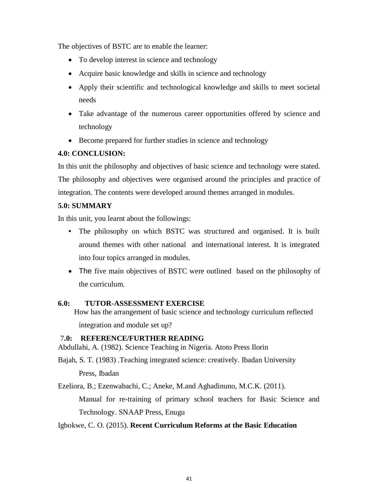The objectives of BSTC are to enable the learner:

- To develop interest in science and technology
- Acquire basic knowledge and skills in science and technology
- Apply their scientific and technological knowledge and skills to meet societal needs
- Take advantage of the numerous career opportunities offered by science and technology
- Become prepared for further studies in science and technology

# **4.0: CONCLUSION:**

In this unit the philosophy and objectives of basic science and technology were stated. The philosophy and objectives were organised around the principles and practice of integration. The contents were developed around themes arranged in modules.

# **5.0: SUMMARY**

In this unit, you learnt about the followings:

- The philosophy on which BSTC was structured and organised. It is built around themes with other national and international interest. It is integrated into four topics arranged in modules.
- The five main objectives of BSTC were outlined based on the philosophy of the curriculum.

# **6.0: TUTOR-ASSESSMENT EXERCISE**

How has the arrangement of basic science and technology curriculum reflected integration and module set up?

# 7**.0: REFERENCE/FURTHER READING**

Abdullahi, A. (1982). Science Teaching in Nigeria. Atoto Press Ilorin

Bajah, S. T. (1983) .Teaching integrated science: creatively. Ibadan University

Press, Ibadan

Ezeliora, B.; Ezenwabachi, C.; Aneke, M.and Aghadinuno, M.C.K. (2011).

Manual for re-training of primary school teachers for Basic Science and Technology. SNAAP Press, Enugu

# Igbokwe, C. O. (2015). **Recent Curriculum Reforms at the Basic Education**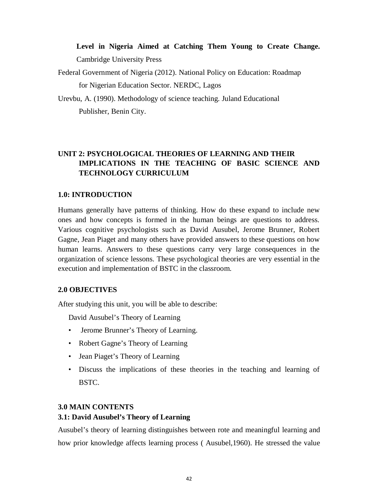# **Level in Nigeria Aimed at Catching Them Young to Create Change.**  Cambridge University Press

Federal Government of Nigeria (2012). National Policy on Education: Roadmap for Nigerian Education Sector. NERDC, Lagos

Urevbu, A. (1990). Methodology of science teaching. Juland Educational Publisher, Benin City.

# **UNIT 2: PSYCHOLOGICAL THEORIES OF LEARNING AND THEIR IMPLICATIONS IN THE TEACHING OF BASIC SCIENCE AND TECHNOLOGY CURRICULUM**

# **1.0: INTRODUCTION**

Humans generally have patterns of thinking. How do these expand to include new ones and how concepts is formed in the human beings are questions to address. Various cognitive psychologists such as David Ausubel, Jerome Brunner, Robert Gagne, Jean Piaget and many others have provided answers to these questions on how human learns. Answers to these questions carry very large consequences in the organization of science lessons. These psychological theories are very essential in the execution and implementation of BSTC in the classroom.

# **2.0 OBJECTIVES**

After studying this unit, you will be able to describe:

David Ausubel's Theory of Learning

- Jerome Brunner's Theory of Learning.
- Robert Gagne's Theory of Learning
- Jean Piaget's Theory of Learning
- Discuss the implications of these theories in the teaching and learning of BSTC.

# **3.0 MAIN CONTENTS**

# **3.1: David Ausubel's Theory of Learning**

Ausubel's theory of learning distinguishes between rote and meaningful learning and how prior knowledge affects learning process ( Ausubel,1960). He stressed the value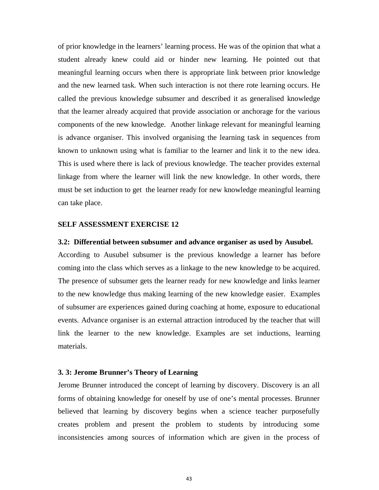of prior knowledge in the learners' learning process. He was of the opinion that what a student already knew could aid or hinder new learning. He pointed out that meaningful learning occurs when there is appropriate link between prior knowledge and the new learned task. When such interaction is not there rote learning occurs. He called the previous knowledge subsumer and described it as generalised knowledge that the learner already acquired that provide association or anchorage for the various components of the new knowledge. Another linkage relevant for meaningful learning is advance organiser. This involved organising the learning task in sequences from known to unknown using what is familiar to the learner and link it to the new idea. This is used where there is lack of previous knowledge. The teacher provides external linkage from where the learner will link the new knowledge. In other words, there must be set induction to get the learner ready for new knowledge meaningful learning can take place.

#### **SELF ASSESSMENT EXERCISE 12**

#### **3.2: Differential between subsumer and advance organiser as used by Ausubel.**

According to Ausubel subsumer is the previous knowledge a learner has before coming into the class which serves as a linkage to the new knowledge to be acquired. The presence of subsumer gets the learner ready for new knowledge and links learner to the new knowledge thus making learning of the new knowledge easier. Examples of subsumer are experiences gained during coaching at home, exposure to educational events. Advance organiser is an external attraction introduced by the teacher that will link the learner to the new knowledge. Examples are set inductions, learning materials.

### **3. 3: Jerome Brunner's Theory of Learning**

Jerome Brunner introduced the concept of learning by discovery. Discovery is an all forms of obtaining knowledge for oneself by use of one's mental processes. Brunner believed that learning by discovery begins when a science teacher purposefully creates problem and present the problem to students by introducing some inconsistencies among sources of information which are given in the process of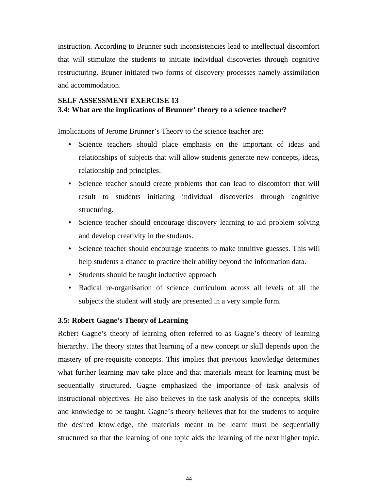instruction. According to Brunner such inconsistencies lead to intellectual discomfort that will stimulate the students to initiate individual discoveries through cognitive restructuring. Bruner initiated two forms of discovery processes namely assimilation and accommodation.

# **SELF ASSESSMENT EXERCISE 13 3.4: What are the implications of Brunner' theory to a science teacher?**

Implications of Jerome Brunner's Theory to the science teacher are:

- Science teachers should place emphasis on the important of ideas and relationships of subjects that will allow students generate new concepts, ideas, relationship and principles.
- Science teacher should create problems that can lead to discomfort that will result to students initiating individual discoveries through cognitive structuring.
- Science teacher should encourage discovery learning to aid problem solving and develop creativity in the students.
- Science teacher should encourage students to make intuitive guesses. This will help students a chance to practice their ability beyond the information data.
- Students should be taught inductive approach
- Radical re-organisation of science curriculum across all levels of all the subjects the student will study are presented in a very simple form.

### **3.5: Robert Gagne's Theory of Learning**

Robert Gagne's theory of learning often referred to as Gagne's theory of learning hierarchy. The theory states that learning of a new concept or skill depends upon the mastery of pre-requisite concepts. This implies that previous knowledge determines what further learning may take place and that materials meant for learning must be sequentially structured. Gagne emphasized the importance of task analysis of instructional objectives. He also believes in the task analysis of the concepts, skills and knowledge to be taught. Gagne's theory believes that for the students to acquire the desired knowledge, the materials meant to be learnt must be sequentially structured so that the learning of one topic aids the learning of the next higher topic.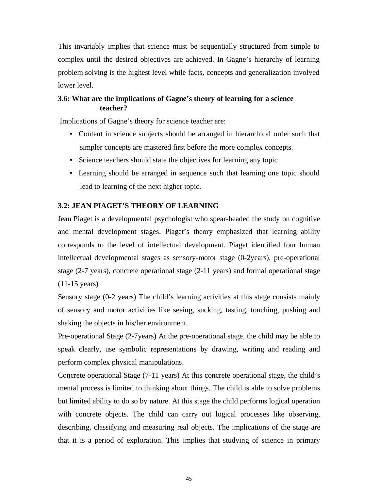This invariably implies that science must be sequentially structured from simple to complex until the desired objectives are achieved. In Gagne's hierarchy of learning problem solving is the highest level while facts, concepts and generalization involved lower level.

# **3.6: What are the implications of Gagne's theory of learning for a science teacher?**

Implications of Gagne's theory for science teacher are:

- Content in science subjects should be arranged in hierarchical order such that simpler concepts are mastered first before the more complex concepts.
- Science teachers should state the objectives for learning any topic
- Learning should be arranged in sequence such that learning one topic should lead to learning of the next higher topic.

### **3.2: JEAN PIAGET'S THEORY OF LEARNING**

Jean Piaget is a developmental psychologist who spear-headed the study on cognitive and mental development stages. Piaget's theory emphasized that learning ability corresponds to the level of intellectual development. Piaget identified four human intellectual developmental stages as sensory-motor stage (0-2years), pre-operational stage (2-7 years), concrete operational stage (2-11 years) and formal operational stage (11-15 years)

Sensory stage (0-2 years) The child's learning activities at this stage consists mainly of sensory and motor activities like seeing, sucking, tasting, touching, pushing and shaking the objects in his/her environment.

Pre-operational Stage (2-7years) At the pre-operational stage, the child may be able to speak clearly, use symbolic representations by drawing, writing and reading and perform complex physical manipulations.

Concrete operational Stage (7-11 years) At this concrete operational stage, the child's mental process is limited to thinking about things. The child is able to solve problems but limited ability to do so by nature. At this stage the child performs logical operation with concrete objects. The child can carry out logical processes like observing, describing, classifying and measuring real objects. The implications of the stage are that it is a period of exploration. This implies that studying of science in primary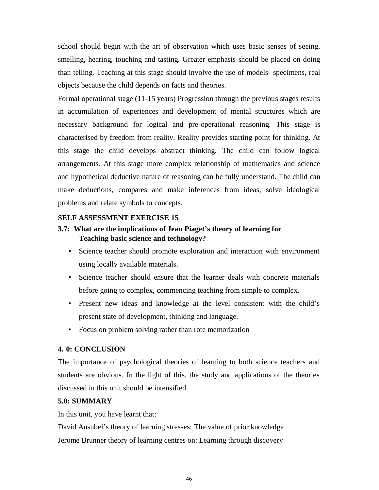school should begin with the art of observation which uses basic senses of seeing, smelling, hearing, touching and tasting. Greater emphasis should be placed on doing than telling. Teaching at this stage should involve the use of models- specimens, real objects because the child depends on facts and theories.

Formal operational stage (11-15 years) Progression through the previous stages results in accumulation of experiences and development of mental structures which are necessary background for logical and pre-operational reasoning. This stage is characterised by freedom from reality. Reality provides starting point for thinking. At this stage the child develops abstract thinking. The child can follow logical arrangements. At this stage more complex relationship of mathematics and science and hypothetical deductive nature of reasoning can be fully understand. The child can make deductions, compares and make inferences from ideas, solve ideological problems and relate symbols to concepts.

### **SELF ASSESSMENT EXERCISE 15**

# **3.7: What are the implications of Jean Piaget's theory of learning for Teaching basic science and technology?**

- Science teacher should promote exploration and interaction with environment using locally available materials.
- Science teacher should ensure that the learner deals with concrete materials before going to complex, commencing teaching from simple to complex.
- Present new ideas and knowledge at the level consistent with the child's present state of development, thinking and language.
- Focus on problem solving rather than rote memorization

# **4. 0: CONCLUSION**

The importance of psychological theories of learning to both science teachers and students are obvious. In the light of this, the study and applications of the theories discussed in this unit should be intensified

# **5.0: SUMMARY**

In this unit, you have learnt that:

David Ausubel's theory of learning stresses: The value of prior knowledge Jerome Brunner theory of learning centres on: Learning through discovery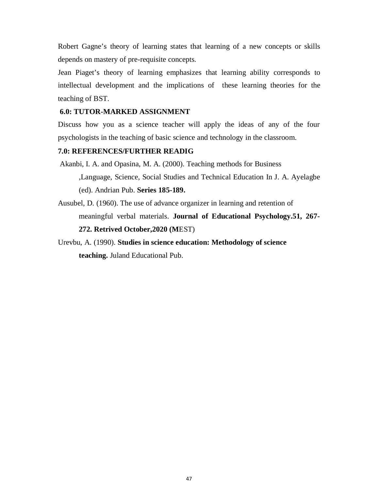Robert Gagne's theory of learning states that learning of a new concepts or skills depends on mastery of pre-requisite concepts.

Jean Piaget's theory of learning emphasizes that learning ability corresponds to intellectual development and the implications of these learning theories for the teaching of BST.

### **6.0: TUTOR-MARKED ASSIGNMENT**

Discuss how you as a science teacher will apply the ideas of any of the four psychologists in the teaching of basic science and technology in the classroom.

# **7.0: REFERENCES/FURTHER READIG**

Akanbi, I. A. and Opasina, M. A. (2000). Teaching methods for Business

,Language, Science, Social Studies and Technical Education In J. A. Ayelagbe (ed). Andrian Pub. **Series 185-189.**

Ausubel, D. (1960). The use of advance organizer in learning and retention of meaningful verbal materials. **Journal of Educational Psychology.51, 267- 272. Retrived October,2020 (M**EST)

Urevbu, A. (1990). **Studies in science education: Methodology of science teaching.** Juland Educational Pub.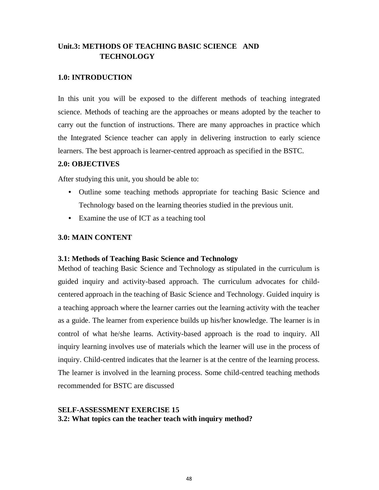# **Unit.3: METHODS OF TEACHING BASIC SCIENCE AND TECHNOLOGY**

# **1.0: INTRODUCTION**

In this unit you will be exposed to the different methods of teaching integrated science. Methods of teaching are the approaches or means adopted by the teacher to carry out the function of instructions. There are many approaches in practice which the Integrated Science teacher can apply in delivering instruction to early science learners. The best approach is learner-centred approach as specified in the BSTC.

# **2.0: OBJECTIVES**

After studying this unit, you should be able to:

- Outline some teaching methods appropriate for teaching Basic Science and Technology based on the learning theories studied in the previous unit.
- Examine the use of ICT as a teaching tool

# **3.0: MAIN CONTENT**

# **3.1: Methods of Teaching Basic Science and Technology**

Method of teaching Basic Science and Technology as stipulated in the curriculum is guided inquiry and activity-based approach. The curriculum advocates for childcentered approach in the teaching of Basic Science and Technology. Guided inquiry is a teaching approach where the learner carries out the learning activity with the teacher as a guide. The learner from experience builds up his/her knowledge. The learner is in control of what he/she learns. Activity-based approach is the road to inquiry. All inquiry learning involves use of materials which the learner will use in the process of inquiry. Child-centred indicates that the learner is at the centre of the learning process. The learner is involved in the learning process. Some child-centred teaching methods recommended for BSTC are discussed

# **SELF-ASSESSMENT EXERCISE 15 3.2: What topics can the teacher teach with inquiry method?**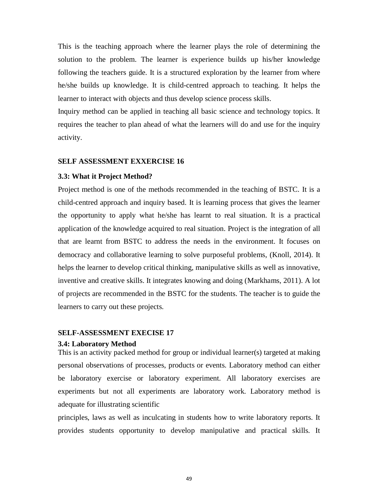This is the teaching approach where the learner plays the role of determining the solution to the problem. The learner is experience builds up his/her knowledge following the teachers guide. It is a structured exploration by the learner from where he/she builds up knowledge. It is child-centred approach to teaching. It helps the learner to interact with objects and thus develop science process skills.

Inquiry method can be applied in teaching all basic science and technology topics. It requires the teacher to plan ahead of what the learners will do and use for the inquiry activity.

#### **SELF ASSESSMENT EXXERCISE 16**

#### **3.3: What it Project Method?**

Project method is one of the methods recommended in the teaching of BSTC. It is a child-centred approach and inquiry based. It is learning process that gives the learner the opportunity to apply what he/she has learnt to real situation. It is a practical application of the knowledge acquired to real situation. Project is the integration of all that are learnt from BSTC to address the needs in the environment. It focuses on democracy and collaborative learning to solve purposeful problems, (Knoll, 2014). It helps the learner to develop critical thinking, manipulative skills as well as innovative, inventive and creative skills. It integrates knowing and doing (Markhams, 2011). A lot of projects are recommended in the BSTC for the students. The teacher is to guide the learners to carry out these projects.

#### **SELF-ASSESSMENT EXECISE 17**

#### **3.4: Laboratory Method**

This is an activity packed method for group or individual learner(s) targeted at making personal observations of processes, products or events. Laboratory method can either be laboratory exercise or laboratory experiment. All laboratory exercises are experiments but not all experiments are laboratory work. Laboratory method is adequate for illustrating scientific

principles, laws as well as inculcating in students how to write laboratory reports. It provides students opportunity to develop manipulative and practical skills. It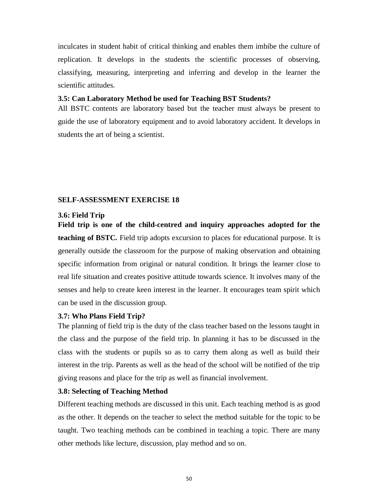inculcates in student habit of critical thinking and enables them imbibe the culture of replication. It develops in the students the scientific processes of observing, classifying, measuring, interpreting and inferring and develop in the learner the scientific attitudes.

# **3.5: Can Laboratory Method be used for Teaching BST Students?**

All BSTC contents are laboratory based but the teacher must always be present to guide the use of laboratory equipment and to avoid laboratory accident. It develops in students the art of being a scientist.

#### **SELF-ASSESSMENT EXERCISE 18**

#### **3.6: Field Trip**

**Field trip is one of the child-centred and inquiry approaches adopted for the teaching of BSTC.** Field trip adopts excursion to places for educational purpose. It is generally outside the classroom for the purpose of making observation and obtaining specific information from original or natural condition. It brings the learner close to real life situation and creates positive attitude towards science. It involves many of the senses and help to create keen interest in the learner. It encourages team spirit which can be used in the discussion group.

# **3.7: Who Plans Field Trip?**

The planning of field trip is the duty of the class teacher based on the lessons taught in the class and the purpose of the field trip. In planning it has to be discussed in the class with the students or pupils so as to carry them along as well as build their interest in the trip. Parents as well as the head of the school will be notified of the trip giving reasons and place for the trip as well as financial involvement.

### **3.8: Selecting of Teaching Method**

Different teaching methods are discussed in this unit. Each teaching method is as good as the other. It depends on the teacher to select the method suitable for the topic to be taught. Two teaching methods can be combined in teaching a topic. There are many other methods like lecture, discussion, play method and so on.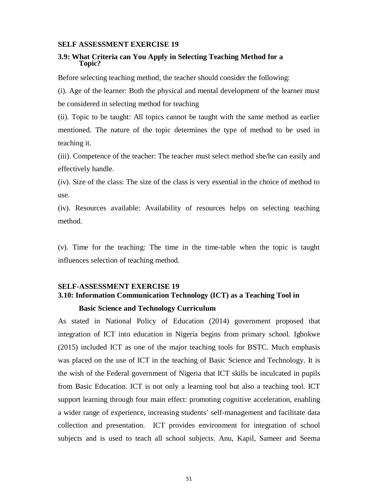#### **SELF ASSESSMENT EXERCISE 19**

#### **3.9: What Criteria can You Apply in Selecting Teaching Method for a Topic?**

Before selecting teaching method, the teacher should consider the following:

(i). Age of the learner: Both the physical and mental development of the learner must be considered in selecting method for teaching

(ii). Topic to be taught: All topics cannot be taught with the same method as earlier mentioned. The nature of the topic determines the type of method to be used in teaching it.

(iii). Competence of the teacher: The teacher must select method she/he can easily and effectively handle.

(iv). Size of the class: The size of the class is very essential in the choice of method to use.

(iv). Resources available: Availability of resources helps on selecting teaching method.

(v). Time for the teaching: The time in the time-table when the topic is taught influences selection of teaching method.

# **SELF-ASSESSMENT EXERCISE 19 3.10: Information Communication Technology (ICT) as a Teaching Tool in Basic Science and Technology Curriculum**

As stated in National Policy of Education (2014) government proposed that integration of ICT into education in Nigeria begins from primary school. Igbokwe (2015) included ICT as one of the major teaching tools for BSTC. Much emphasis was placed on the use of ICT in the teaching of Basic Science and Technology. It is the wish of the Federal government of Nigeria that ICT skills be inculcated in pupils from Basic Education. ICT is not only a learning tool but also a teaching tool. ICT support learning through four main effect: promoting cognitive acceleration, enabling a wider range of experience, increasing students' self-management and facilitate data collection and presentation. ICT provides environment for integration of school subjects and is used to teach all school subjects. Anu, Kapil, Sameer and Seema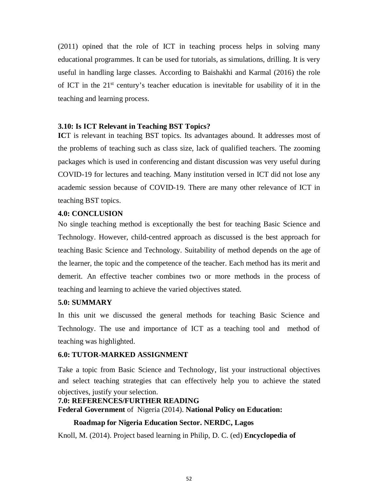(2011) opined that the role of ICT in teaching process helps in solving many educational programmes. It can be used for tutorials, as simulations, drilling. It is very useful in handling large classes. According to Baishakhi and Karmal (2016) the role of ICT in the  $21<sup>st</sup>$  century's teacher education is inevitable for usability of it in the teaching and learning process.

### **3.10: Is ICT Relevant in Teaching BST Topics?**

**ICT** is relevant in teaching BST topics. Its advantages abound. It addresses most of the problems of teaching such as class size, lack of qualified teachers. The zooming packages which is used in conferencing and distant discussion was very useful during COVID-19 for lectures and teaching. Many institution versed in ICT did not lose any academic session because of COVID-19. There are many other relevance of ICT in teaching BST topics.

#### **4.0: CONCLUSION**

No single teaching method is exceptionally the best for teaching Basic Science and Technology. However, child-centred approach as discussed is the best approach for teaching Basic Science and Technology. Suitability of method depends on the age of the learner, the topic and the competence of the teacher. Each method has its merit and demerit. An effective teacher combines two or more methods in the process of teaching and learning to achieve the varied objectives stated.

### **5.0: SUMMARY**

In this unit we discussed the general methods for teaching Basic Science and Technology. The use and importance of ICT as a teaching tool and method of teaching was highlighted.

### **6.0: TUTOR-MARKED ASSIGNMENT**

Take a topic from Basic Science and Technology, list your instructional objectives and select teaching strategies that can effectively help you to achieve the stated objectives, justify your selection.

# **7.0: REFERENCES/FURTHER READING Federal Government** of Nigeria (2014). **National Policy on Education:**

# **Roadmap for Nigeria Education Sector. NERDC, Lagos**

Knoll, M. (2014). Project based learning in Philip, D. C. (ed) **Encyclopedia of**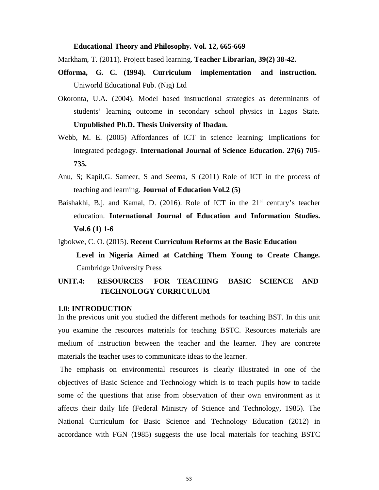#### **Educational Theory and Philosophy. Vol. 12, 665-669**

Markham, T. (2011). Project based learning. **Teacher Librarian, 39(2) 38-42.** 

- **Offorma, G. C. (1994). Curriculum implementation and instruction.**  Uniworld Educational Pub. (Nig) Ltd
- Okoronta, U.A. (2004). Model based instructional strategies as determinants of students' learning outcome in secondary school physics in Lagos State. **Unpublished Ph.D. Thesis University of Ibadan.**
- Webb, M. E. (2005) Affordances of ICT in science learning: Implications for integrated pedagogy. **International Journal of Science Education. 27(6) 705- 735.**
- Anu, S; Kapil,G. Sameer, S and Seema, S (2011) Role of ICT in the process of teaching and learning. **Journal of Education Vol.2 (5)**
- Baishakhi, B.j. and Kamal, D. (2016). Role of ICT in the  $21<sup>st</sup>$  century's teacher education. **International Journal of Education and Information Studies. Vol.6 (1) 1-6**

Igbokwe, C. O. (2015). **Recent Curriculum Reforms at the Basic Education** 

**Level in Nigeria Aimed at Catching Them Young to Create Change.**  Cambridge University Press

# **UNIT.4: RESOURCES FOR TEACHING BASIC SCIENCE AND TECHNOLOGY CURRICULUM**

### **1.0: INTRODUCTION**

In the previous unit you studied the different methods for teaching BST. In this unit you examine the resources materials for teaching BSTC. Resources materials are medium of instruction between the teacher and the learner. They are concrete materials the teacher uses to communicate ideas to the learner.

 The emphasis on environmental resources is clearly illustrated in one of the objectives of Basic Science and Technology which is to teach pupils how to tackle some of the questions that arise from observation of their own environment as it affects their daily life (Federal Ministry of Science and Technology, 1985). The National Curriculum for Basic Science and Technology Education (2012) in accordance with FGN (1985) suggests the use local materials for teaching BSTC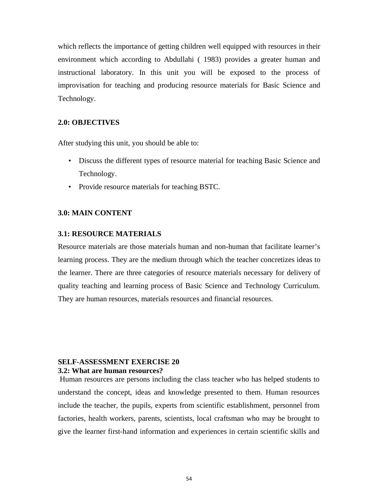which reflects the importance of getting children well equipped with resources in their environment which according to Abdullahi ( 1983) provides a greater human and instructional laboratory. In this unit you will be exposed to the process of improvisation for teaching and producing resource materials for Basic Science and Technology.

### **2.0: OBJECTIVES**

After studying this unit, you should be able to:

- Discuss the different types of resource material for teaching Basic Science and Technology.
- Provide resource materials for teaching BSTC.

### **3.0: MAIN CONTENT**

#### **3.1: RESOURCE MATERIALS**

Resource materials are those materials human and non-human that facilitate learner's learning process. They are the medium through which the teacher concretizes ideas to the learner. There are three categories of resource materials necessary for delivery of quality teaching and learning process of Basic Science and Technology Curriculum. They are human resources, materials resources and financial resources.

## **SELF-ASSESSMENT EXERCISE 20 3.2: What are human resources?**

Human resources are persons including the class teacher who has helped students to understand the concept, ideas and knowledge presented to them. Human resources include the teacher, the pupils, experts from scientific establishment, personnel from factories, health workers, parents, scientists, local craftsman who may be brought to give the learner first-hand information and experiences in certain scientific skills and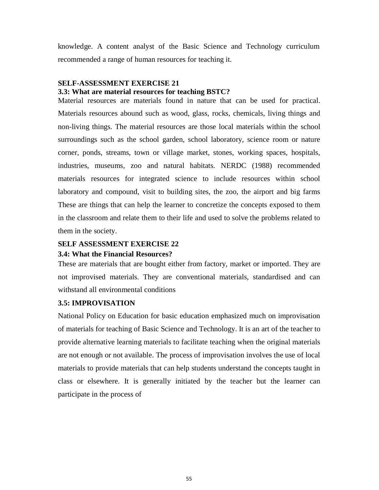knowledge. A content analyst of the Basic Science and Technology curriculum recommended a range of human resources for teaching it.

# **SELF-ASSESSMENT EXERCISE 21**

# **3.3: What are material resources for teaching BSTC?**

Material resources are materials found in nature that can be used for practical. Materials resources abound such as wood, glass, rocks, chemicals, living things and non-living things. The material resources are those local materials within the school surroundings such as the school garden, school laboratory, science room or nature corner, ponds, streams, town or village market, stones, working spaces, hospitals, industries, museums, zoo and natural habitats. NERDC (1988) recommended materials resources for integrated science to include resources within school laboratory and compound, visit to building sites, the zoo, the airport and big farms These are things that can help the learner to concretize the concepts exposed to them in the classroom and relate them to their life and used to solve the problems related to them in the society.

### **SELF ASSESSMENT EXERCISE 22**

### **3.4: What the Financial Resources?**

These are materials that are bought either from factory, market or imported. They are not improvised materials. They are conventional materials, standardised and can withstand all environmental conditions

# **3.5: IMPROVISATION**

National Policy on Education for basic education emphasized much on improvisation of materials for teaching of Basic Science and Technology. It is an art of the teacher to provide alternative learning materials to facilitate teaching when the original materials are not enough or not available. The process of improvisation involves the use of local materials to provide materials that can help students understand the concepts taught in class or elsewhere. It is generally initiated by the teacher but the learner can participate in the process of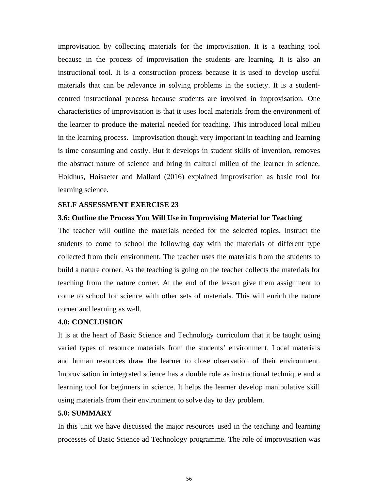improvisation by collecting materials for the improvisation. It is a teaching tool because in the process of improvisation the students are learning. It is also an instructional tool. It is a construction process because it is used to develop useful materials that can be relevance in solving problems in the society. It is a studentcentred instructional process because students are involved in improvisation. One characteristics of improvisation is that it uses local materials from the environment of the learner to produce the material needed for teaching. This introduced local milieu in the learning process. Improvisation though very important in teaching and learning is time consuming and costly. But it develops in student skills of invention, removes the abstract nature of science and bring in cultural milieu of the learner in science. Holdhus, Hoisaeter and Mallard (2016) explained improvisation as basic tool for learning science.

### **SELF ASSESSMENT EXERCISE 23**

### **3.6: Outline the Process You Will Use in Improvising Material for Teaching**

The teacher will outline the materials needed for the selected topics. Instruct the students to come to school the following day with the materials of different type collected from their environment. The teacher uses the materials from the students to build a nature corner. As the teaching is going on the teacher collects the materials for teaching from the nature corner. At the end of the lesson give them assignment to come to school for science with other sets of materials. This will enrich the nature corner and learning as well.

#### **4.0: CONCLUSION**

It is at the heart of Basic Science and Technology curriculum that it be taught using varied types of resource materials from the students' environment. Local materials and human resources draw the learner to close observation of their environment. Improvisation in integrated science has a double role as instructional technique and a learning tool for beginners in science. It helps the learner develop manipulative skill using materials from their environment to solve day to day problem.

#### **5.0: SUMMARY**

In this unit we have discussed the major resources used in the teaching and learning processes of Basic Science ad Technology programme. The role of improvisation was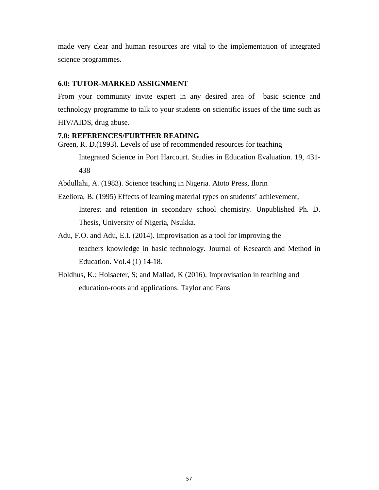made very clear and human resources are vital to the implementation of integrated science programmes.

## **6.0: TUTOR-MARKED ASSIGNMENT**

From your community invite expert in any desired area of basic science and technology programme to talk to your students on scientific issues of the time such as HIV/AIDS, drug abuse.

#### **7.0: REFERENCES/FURTHER READING**

Green, R. D.(1993). Levels of use of recommended resources for teaching

Integrated Science in Port Harcourt. Studies in Education Evaluation. 19, 431- 438

Abdullahi, A. (1983). Science teaching in Nigeria. Atoto Press, Ilorin

- Ezeliora, B. (1995) Effects of learning material types on students' achievement, Interest and retention in secondary school chemistry. Unpublished Ph. D. Thesis, University of Nigeria, Nsukka.
- Adu, F.O. and Adu, E.I. (2014). Improvisation as a tool for improving the teachers knowledge in basic technology. Journal of Research and Method in Education. Vol.4 (1) 14-18.
- Holdhus, K.; Hoisaeter, S; and Mallad, K (2016). Improvisation in teaching and education-roots and applications. Taylor and Fans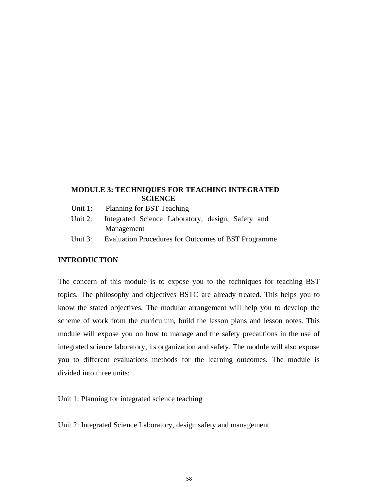# **MODULE 3: TECHNIQUES FOR TEACHING INTEGRATED SCIENCE**

- Unit 1: Planning for BST Teaching
- Unit 2: Integrated Science Laboratory, design, Safety and Management
- Unit 3: Evaluation Procedures for Outcomes of BST Programme

# **INTRODUCTION**

The concern of this module is to expose you to the techniques for teaching BST topics. The philosophy and objectives BSTC are already treated. This helps you to know the stated objectives. The modular arrangement will help you to develop the scheme of work from the curriculum, build the lesson plans and lesson notes. This module will expose you on how to manage and the safety precautions in the use of integrated science laboratory, its organization and safety. The module will also expose you to different evaluations methods for the learning outcomes. The module is divided into three units:

Unit 1: Planning for integrated science teaching

Unit 2: Integrated Science Laboratory, design safety and management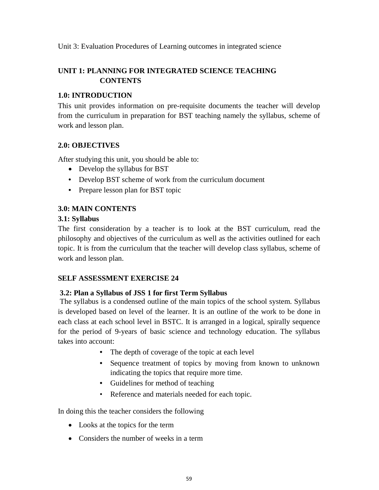Unit 3: Evaluation Procedures of Learning outcomes in integrated science

# **UNIT 1: PLANNING FOR INTEGRATED SCIENCE TEACHING CONTENTS**

# **1.0: INTRODUCTION**

This unit provides information on pre-requisite documents the teacher will develop from the curriculum in preparation for BST teaching namely the syllabus, scheme of work and lesson plan.

# **2.0: OBJECTIVES**

After studying this unit, you should be able to:

- Develop the syllabus for BST
- Develop BST scheme of work from the curriculum document
- Prepare lesson plan for BST topic

# **3.0: MAIN CONTENTS**

# **3.1: Syllabus**

The first consideration by a teacher is to look at the BST curriculum, read the philosophy and objectives of the curriculum as well as the activities outlined for each topic. It is from the curriculum that the teacher will develop class syllabus, scheme of work and lesson plan.

# **SELF ASSESSMENT EXERCISE 24**

# **3.2: Plan a Syllabus of JSS 1 for first Term Syllabus**

 The syllabus is a condensed outline of the main topics of the school system. Syllabus is developed based on level of the learner. It is an outline of the work to be done in each class at each school level in BSTC. It is arranged in a logical, spirally sequence for the period of 9-years of basic science and technology education. The syllabus takes into account:

- The depth of coverage of the topic at each level
- Sequence treatment of topics by moving from known to unknown indicating the topics that require more time.
- Guidelines for method of teaching
- Reference and materials needed for each topic.

In doing this the teacher considers the following

- Looks at the topics for the term
- Considers the number of weeks in a term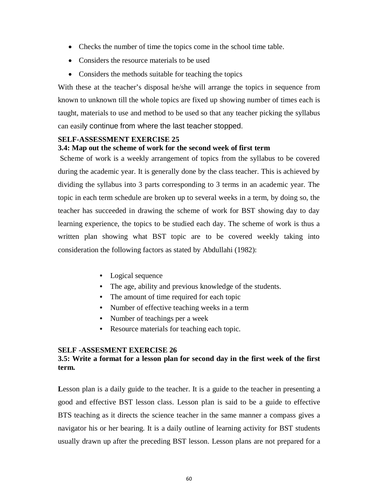- Checks the number of time the topics come in the school time table.
- Considers the resource materials to be used
- Considers the methods suitable for teaching the topics

With these at the teacher's disposal he/she will arrange the topics in sequence from known to unknown till the whole topics are fixed up showing number of times each is taught, materials to use and method to be used so that any teacher picking the syllabus can easily continue from where the last teacher stopped.

# **SELF-ASSESSMENT EXERCISE 25**

### **3.4: Map out the scheme of work for the second week of first term**

Scheme of work is a weekly arrangement of topics from the syllabus to be covered during the academic year. It is generally done by the class teacher. This is achieved by dividing the syllabus into 3 parts corresponding to 3 terms in an academic year. The topic in each term schedule are broken up to several weeks in a term, by doing so, the teacher has succeeded in drawing the scheme of work for BST showing day to day learning experience, the topics to be studied each day. The scheme of work is thus a written plan showing what BST topic are to be covered weekly taking into consideration the following factors as stated by Abdullahi (1982):

- Logical sequence
- The age, ability and previous knowledge of the students.
- The amount of time required for each topic
- Number of effective teaching weeks in a term
- Number of teachings per a week
- Resource materials for teaching each topic.

### **SELF -ASSESMENT EXERCISE 26**

# **3.5: Write a format for a lesson plan for second day in the first week of the first term.**

Lesson plan is a daily guide to the teacher. It is a guide to the teacher in presenting a good and effective BST lesson class. Lesson plan is said to be a guide to effective BTS teaching as it directs the science teacher in the same manner a compass gives a navigator his or her bearing. It is a daily outline of learning activity for BST students usually drawn up after the preceding BST lesson. Lesson plans are not prepared for a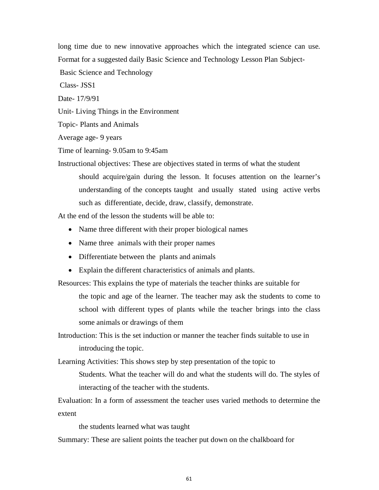long time due to new innovative approaches which the integrated science can use. Format for a suggested daily Basic Science and Technology Lesson Plan Subject-

Basic Science and Technology

Class- JSS1

Date- 17/9/91

Unit- Living Things in the Environment

Topic- Plants and Animals

Average age- 9 years

Time of learning- 9.05am to 9:45am

Instructional objectives: These are objectives stated in terms of what the student should acquire/gain during the lesson. It focuses attention on the learner's understanding of the concepts taught and usually stated using active verbs such as differentiate, decide, draw, classify, demonstrate.

At the end of the lesson the students will be able to:

- Name three different with their proper biological names
- Name three animals with their proper names
- Differentiate between the plants and animals
- Explain the different characteristics of animals and plants.

Resources: This explains the type of materials the teacher thinks are suitable for

the topic and age of the learner. The teacher may ask the students to come to school with different types of plants while the teacher brings into the class some animals or drawings of them

Introduction: This is the set induction or manner the teacher finds suitable to use in introducing the topic.

Learning Activities: This shows step by step presentation of the topic to

Students. What the teacher will do and what the students will do. The styles of interacting of the teacher with the students.

Evaluation: In a form of assessment the teacher uses varied methods to determine the extent

the students learned what was taught

Summary: These are salient points the teacher put down on the chalkboard for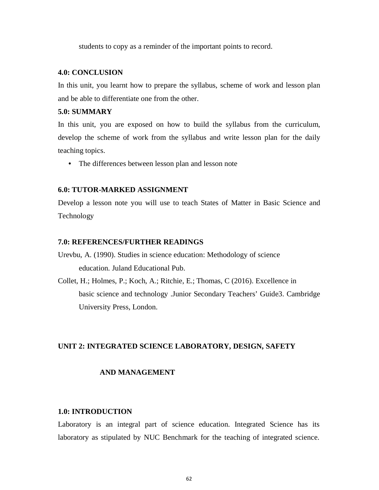students to copy as a reminder of the important points to record.

### **4.0: CONCLUSION**

In this unit, you learnt how to prepare the syllabus, scheme of work and lesson plan and be able to differentiate one from the other.

### **5.0: SUMMARY**

In this unit, you are exposed on how to build the syllabus from the curriculum, develop the scheme of work from the syllabus and write lesson plan for the daily teaching topics.

• The differences between lesson plan and lesson note

#### **6.0: TUTOR-MARKED ASSIGNMENT**

Develop a lesson note you will use to teach States of Matter in Basic Science and Technology

#### **7.0: REFERENCES/FURTHER READINGS**

- Urevbu, A. (1990). Studies in science education: Methodology of science education. Juland Educational Pub.
- Collet, H.; Holmes, P.; Koch, A.; Ritchie, E.; Thomas, C (2016). Excellence in basic science and technology .Junior Secondary Teachers' Guide3. Cambridge University Press, London.

### **UNIT 2: INTEGRATED SCIENCE LABORATORY, DESIGN, SAFETY**

### **AND MANAGEMENT**

#### **1.0: INTRODUCTION**

Laboratory is an integral part of science education. Integrated Science has its laboratory as stipulated by NUC Benchmark for the teaching of integrated science.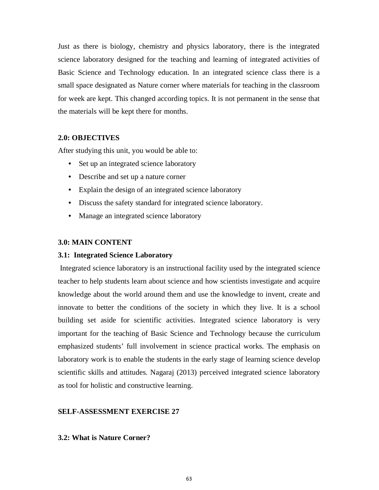Just as there is biology, chemistry and physics laboratory, there is the integrated science laboratory designed for the teaching and learning of integrated activities of Basic Science and Technology education. In an integrated science class there is a small space designated as Nature corner where materials for teaching in the classroom for week are kept. This changed according topics. It is not permanent in the sense that the materials will be kept there for months.

#### **2.0: OBJECTIVES**

After studying this unit, you would be able to:

- Set up an integrated science laboratory
- Describe and set up a nature corner
- Explain the design of an integrated science laboratory
- Discuss the safety standard for integrated science laboratory.
- Manage an integrated science laboratory

#### **3.0: MAIN CONTENT**

#### **3.1: Integrated Science Laboratory**

Integrated science laboratory is an instructional facility used by the integrated science teacher to help students learn about science and how scientists investigate and acquire knowledge about the world around them and use the knowledge to invent, create and innovate to better the conditions of the society in which they live. It is a school building set aside for scientific activities. Integrated science laboratory is very important for the teaching of Basic Science and Technology because the curriculum emphasized students' full involvement in science practical works. The emphasis on laboratory work is to enable the students in the early stage of learning science develop scientific skills and attitudes. Nagaraj (2013) perceived integrated science laboratory as tool for holistic and constructive learning.

#### **SELF-ASSESSMENT EXERCISE 27**

#### **3.2: What is Nature Corner?**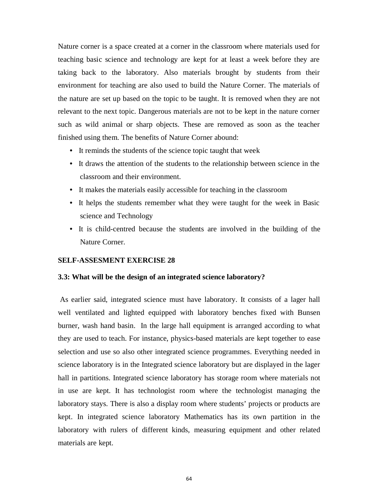Nature corner is a space created at a corner in the classroom where materials used for teaching basic science and technology are kept for at least a week before they are taking back to the laboratory. Also materials brought by students from their environment for teaching are also used to build the Nature Corner. The materials of the nature are set up based on the topic to be taught. It is removed when they are not relevant to the next topic. Dangerous materials are not to be kept in the nature corner such as wild animal or sharp objects. These are removed as soon as the teacher finished using them. The benefits of Nature Corner abound:

- It reminds the students of the science topic taught that week
- It draws the attention of the students to the relationship between science in the classroom and their environment.
- It makes the materials easily accessible for teaching in the classroom
- It helps the students remember what they were taught for the week in Basic science and Technology
- It is child-centred because the students are involved in the building of the Nature Corner.

#### **SELF-ASSESMENT EXERCISE 28**

#### **3.3: What will be the design of an integrated science laboratory?**

As earlier said, integrated science must have laboratory. It consists of a lager hall well ventilated and lighted equipped with laboratory benches fixed with Bunsen burner, wash hand basin. In the large hall equipment is arranged according to what they are used to teach. For instance, physics-based materials are kept together to ease selection and use so also other integrated science programmes. Everything needed in science laboratory is in the Integrated science laboratory but are displayed in the lager hall in partitions. Integrated science laboratory has storage room where materials not in use are kept. It has technologist room where the technologist managing the laboratory stays. There is also a display room where students' projects or products are kept. In integrated science laboratory Mathematics has its own partition in the laboratory with rulers of different kinds, measuring equipment and other related materials are kept.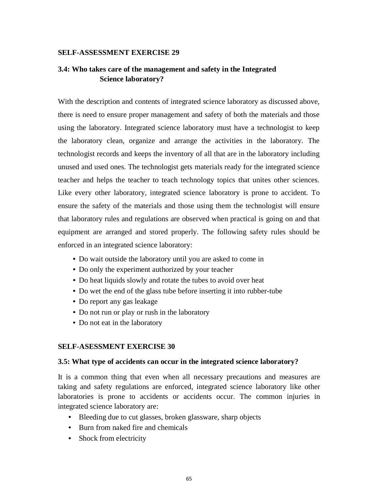### **SELF-ASSESSMENT EXERCISE 29**

# **3.4: Who takes care of the management and safety in the Integrated Science laboratory?**

With the description and contents of integrated science laboratory as discussed above, there is need to ensure proper management and safety of both the materials and those using the laboratory. Integrated science laboratory must have a technologist to keep the laboratory clean, organize and arrange the activities in the laboratory. The technologist records and keeps the inventory of all that are in the laboratory including unused and used ones. The technologist gets materials ready for the integrated science teacher and helps the teacher to teach technology topics that unites other sciences. Like every other laboratory, integrated science laboratory is prone to accident. To ensure the safety of the materials and those using them the technologist will ensure that laboratory rules and regulations are observed when practical is going on and that equipment are arranged and stored properly. The following safety rules should be enforced in an integrated science laboratory:

- Do wait outside the laboratory until you are asked to come in
- Do only the experiment authorized by your teacher
- Do heat liquids slowly and rotate the tubes to avoid over heat
- Do wet the end of the glass tube before inserting it into rubber-tube
- Do report any gas leakage
- Do not run or play or rush in the laboratory
- Do not eat in the laboratory

### **SELF-ASESSMENT EXERCISE 30**

#### **3.5: What type of accidents can occur in the integrated science laboratory?**

It is a common thing that even when all necessary precautions and measures are taking and safety regulations are enforced, integrated science laboratory like other laboratories is prone to accidents or accidents occur. The common injuries in integrated science laboratory are:

- Bleeding due to cut glasses, broken glassware, sharp objects
- Burn from naked fire and chemicals
- Shock from electricity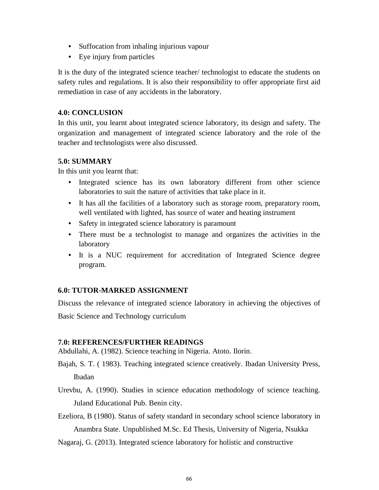- Suffocation from inhaling injurious vapour
- Eye injury from particles

It is the duty of the integrated science teacher/ technologist to educate the students on safety rules and regulations. It is also their responsibility to offer appropriate first aid remediation in case of any accidents in the laboratory.

# **4.0: CONCLUSION**

In this unit, you learnt about integrated science laboratory, its design and safety. The organization and management of integrated science laboratory and the role of the teacher and technologists were also discussed.

# **5.0: SUMMARY**

In this unit you learnt that:

- Integrated science has its own laboratory different from other science laboratories to suit the nature of activities that take place in it.
- It has all the facilities of a laboratory such as storage room, preparatory room, well ventilated with lighted, has source of water and heating instrument
- Safety in integrated science laboratory is paramount
- There must be a technologist to manage and organizes the activities in the laboratory
- It is a NUC requirement for accreditation of Integrated Science degree program.

# **6.0: TUTOR-MARKED ASSIGNMENT**

Discuss the relevance of integrated science laboratory in achieving the objectives of Basic Science and Technology curriculum

# **7.0: REFERENCES/FURTHER READINGS**

Abdullahi, A. (1982). Science teaching in Nigeria. Atoto. Ilorin.

Bajah, S. T. ( 1983). Teaching integrated science creatively. Ibadan University Press, Ibadan

Urevbu, A. (1990). Studies in science education methodology of science teaching. Juland Educational Pub. Benin city.

Ezeliora, B (1980). Status of safety standard in secondary school science laboratory in Anambra State. Unpublished M.Sc. Ed Thesis, University of Nigeria, Nsukka

Nagaraj, G. (2013). Integrated science laboratory for holistic and constructive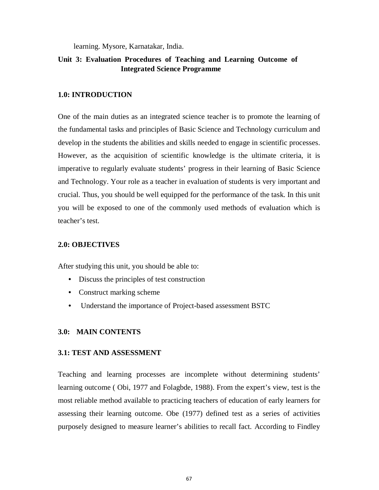learning. Mysore, Karnatakar, India.

# **Unit 3: Evaluation Procedures of Teaching and Learning Outcome of Integrated Science Programme**

### **1.0: INTRODUCTION**

One of the main duties as an integrated science teacher is to promote the learning of the fundamental tasks and principles of Basic Science and Technology curriculum and develop in the students the abilities and skills needed to engage in scientific processes. However, as the acquisition of scientific knowledge is the ultimate criteria, it is imperative to regularly evaluate students' progress in their learning of Basic Science and Technology. Your role as a teacher in evaluation of students is very important and crucial. Thus, you should be well equipped for the performance of the task. In this unit you will be exposed to one of the commonly used methods of evaluation which is teacher's test.

# **2.0: OBJECTIVES**

After studying this unit, you should be able to:

- Discuss the principles of test construction
- Construct marking scheme
- Understand the importance of Project-based assessment BSTC

### **3.0: MAIN CONTENTS**

# **3.1: TEST AND ASSESSMENT**

Teaching and learning processes are incomplete without determining students' learning outcome ( Obi, 1977 and Folagbde, 1988). From the expert's view, test is the most reliable method available to practicing teachers of education of early learners for assessing their learning outcome. Obe (1977) defined test as a series of activities purposely designed to measure learner's abilities to recall fact. According to Findley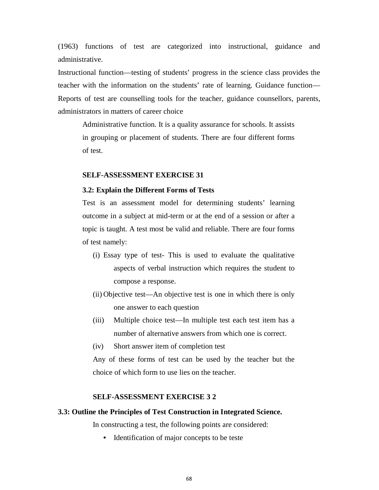(1963) functions of test are categorized into instructional, guidance and administrative.

Instructional function—testing of students' progress in the science class provides the teacher with the information on the students' rate of learning. Guidance function— Reports of test are counselling tools for the teacher, guidance counsellors, parents, administrators in matters of career choice

Administrative function. It is a quality assurance for schools. It assists in grouping or placement of students. There are four different forms of test.

#### **SELF-ASSESSMENT EXERCISE 31**

#### **3.2: Explain the Different Forms of Tests**

Test is an assessment model for determining students' learning outcome in a subject at mid-term or at the end of a session or after a topic is taught. A test most be valid and reliable. There are four forms of test namely:

- (i) Essay type of test- This is used to evaluate the qualitative aspects of verbal instruction which requires the student to compose a response.
- (ii) Objective test—An objective test is one in which there is only one answer to each question
- (iii) Multiple choice test—In multiple test each test item has a number of alternative answers from which one is correct.
- (iv) Short answer item of completion test

Any of these forms of test can be used by the teacher but the choice of which form to use lies on the teacher.

#### **SELF-ASSESSMENT EXERCISE 3 2**

### **3.3: Outline the Principles of Test Construction in Integrated Science.**

In constructing a test, the following points are considered:

• Identification of major concepts to be teste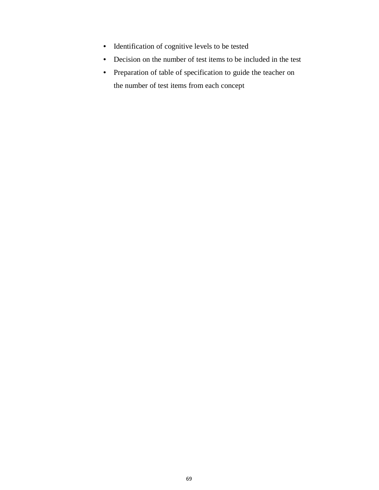- Identification of cognitive levels to be tested
- Decision on the number of test items to be included in the test
- Preparation of table of specification to guide the teacher on the number of test items from each concept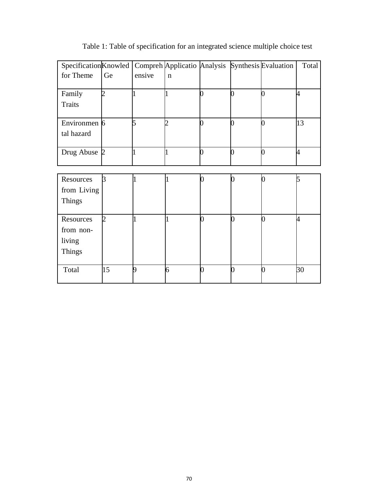| Specification Knowled |    |        | Compreh Applicatio Analysis Synthesis Evaluation |    |   |   | Total          |
|-----------------------|----|--------|--------------------------------------------------|----|---|---|----------------|
| for Theme             | Ge | ensive | $\mathbf n$                                      |    |   |   |                |
| Family                |    |        |                                                  |    | ⋂ |   | 4              |
| <b>Traits</b>         |    |        |                                                  |    |   |   |                |
| Environmen 6          |    | 5      | າ                                                |    | ∩ |   | 13             |
| tal hazard            |    |        |                                                  |    |   |   |                |
| Drug Abuse 2          |    |        |                                                  |    | 0 |   | 4              |
|                       |    |        |                                                  |    |   |   |                |
| Resources             | 3  |        |                                                  |    |   |   |                |
| from Living           |    |        |                                                  |    |   |   |                |
| <b>Things</b>         |    |        |                                                  |    |   |   |                |
| Resources             |    |        |                                                  |    |   | 0 | $\overline{A}$ |
| from non-             |    |        |                                                  |    |   |   |                |
| living                |    |        |                                                  |    |   |   |                |
| <b>Things</b>         |    |        |                                                  |    |   |   |                |
| Total                 | 15 | Q      | 6                                                | É. |   | 0 | 30             |

Table 1: Table of specification for an integrated science multiple choice test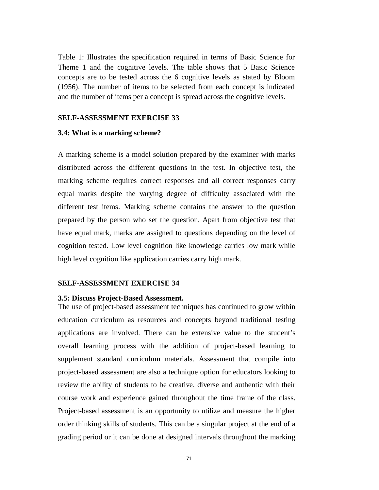Table 1: Illustrates the specification required in terms of Basic Science for Theme 1 and the cognitive levels. The table shows that 5 Basic Science concepts are to be tested across the 6 cognitive levels as stated by Bloom (1956). The number of items to be selected from each concept is indicated and the number of items per a concept is spread across the cognitive levels.

#### **SELF-ASSESSMENT EXERCISE 33**

#### **3.4: What is a marking scheme?**

A marking scheme is a model solution prepared by the examiner with marks distributed across the different questions in the test. In objective test, the marking scheme requires correct responses and all correct responses carry equal marks despite the varying degree of difficulty associated with the different test items. Marking scheme contains the answer to the question prepared by the person who set the question. Apart from objective test that have equal mark, marks are assigned to questions depending on the level of cognition tested. Low level cognition like knowledge carries low mark while high level cognition like application carries carry high mark.

#### **SELF-ASSESSMENT EXERCISE 34**

#### **3.5: Discuss Project-Based Assessment.**

The use of project-based assessment techniques has continued to grow within education curriculum as resources and concepts beyond traditional testing applications are involved. There can be extensive value to the student's overall learning process with the addition of project-based learning to supplement standard curriculum materials. Assessment that compile into project-based assessment are also a technique option for educators looking to review the ability of students to be creative, diverse and authentic with their course work and experience gained throughout the time frame of the class. Project-based assessment is an opportunity to utilize and measure the higher order thinking skills of students. This can be a singular project at the end of a grading period or it can be done at designed intervals throughout the marking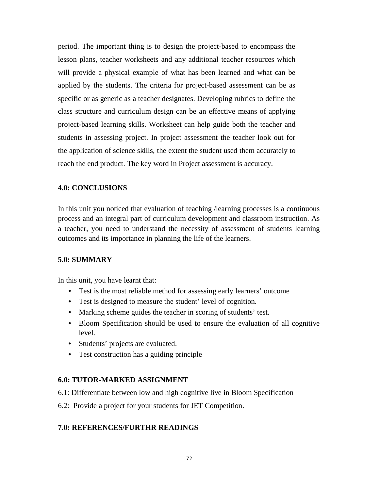period. The important thing is to design the project-based to encompass the lesson plans, teacher worksheets and any additional teacher resources which will provide a physical example of what has been learned and what can be applied by the students. The criteria for project-based assessment can be as specific or as generic as a teacher designates. Developing rubrics to define the class structure and curriculum design can be an effective means of applying project-based learning skills. Worksheet can help guide both the teacher and students in assessing project. In project assessment the teacher look out for the application of science skills, the extent the student used them accurately to reach the end product. The key word in Project assessment is accuracy.

### **4.0: CONCLUSIONS**

In this unit you noticed that evaluation of teaching /learning processes is a continuous process and an integral part of curriculum development and classroom instruction. As a teacher, you need to understand the necessity of assessment of students learning outcomes and its importance in planning the life of the learners.

#### **5.0: SUMMARY**

In this unit, you have learnt that:

- Test is the most reliable method for assessing early learners' outcome
- Test is designed to measure the student' level of cognition.
- Marking scheme guides the teacher in scoring of students' test.
- Bloom Specification should be used to ensure the evaluation of all cognitive level.
- Students' projects are evaluated.
- Test construction has a guiding principle

#### **6.0: TUTOR-MARKED ASSIGNMENT**

- 6.1: Differentiate between low and high cognitive live in Bloom Specification
- 6.2: Provide a project for your students for JET Competition.

#### **7.0: REFERENCES/FURTHR READINGS**